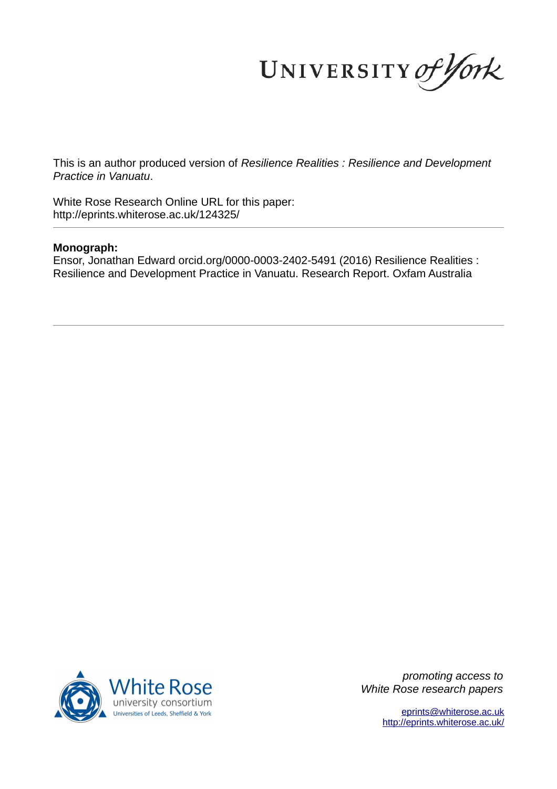UNIVERSITY of York

This is an author produced version of *Resilience Realities : Resilience and Development Practice in Vanuatu*.

White Rose Research Online URL for this paper: http://eprints.whiterose.ac.uk/124325/

#### **Monograph:**

Ensor, Jonathan Edward orcid.org/0000-0003-2402-5491 (2016) Resilience Realities : Resilience and Development Practice in Vanuatu. Research Report. Oxfam Australia



*promoting access to White Rose research papers*

> [eprints@whiterose.ac.uk](mailto:eprints@whiterose.ac.uk) <http://eprints.whiterose.ac.uk/>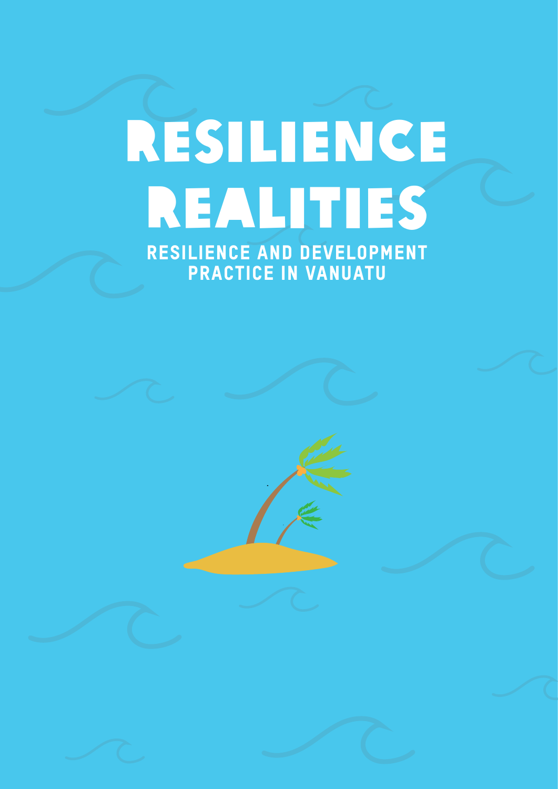# Resilience Realities

Resilience and development practice in Vanuatu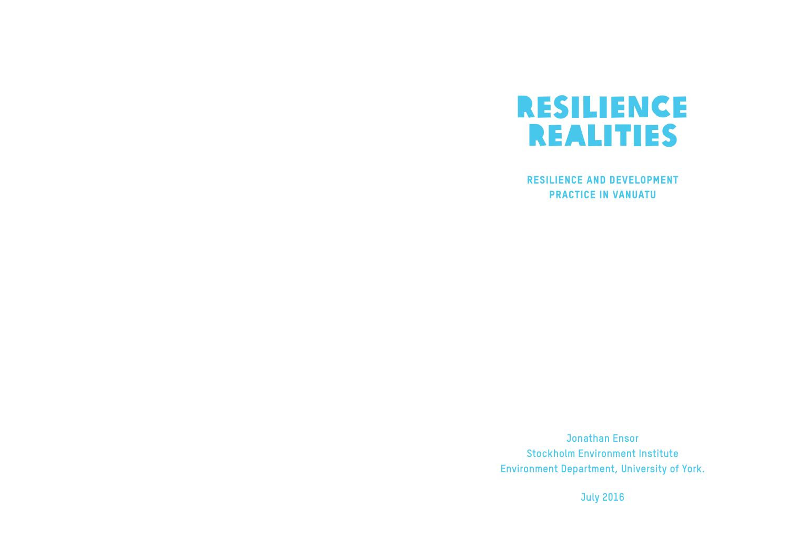

#### Resilience and development practice in Vanuatu

**Jonathan Ensor Stockholm Environment Institute Environment Department, University of York.**

**July 2016**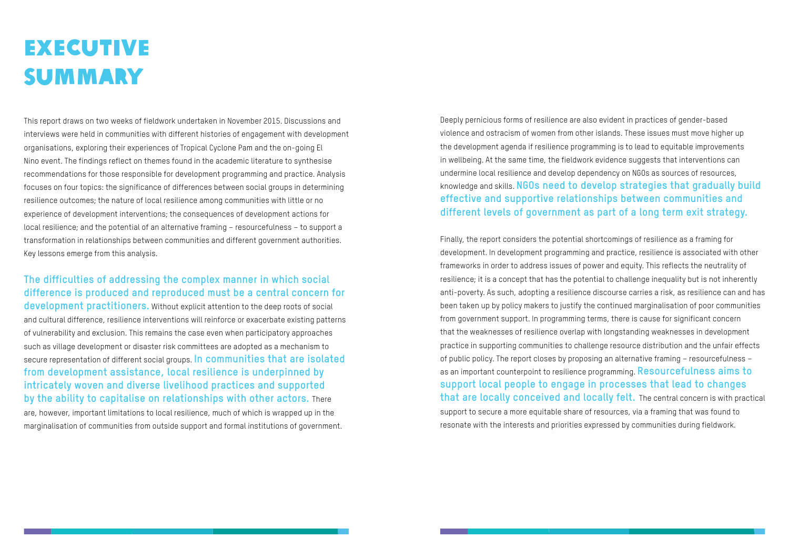Deeply pernicious forms of resilience are also evident in practices of gender-based violence and ostracism of women from other islands. These issues must move higher up the development agenda if resilience programming is to lead to equitable improvements in wellbeing. At the same time, the fieldwork evidence suggests that interventions can undermine local resilience and develop dependency on NGOs as sources of resources, knowledge and skills. **NGOs need to develop strategies that gradually build effective and supportive relationships between communities and different levels of government as part of a long term exit strategy.** 

# **EXECUTIVE** summary

Finally, the report considers the potential shortcomings of resilience as a framing for development. In development programming and practice, resilience is associated with other frameworks in order to address issues of power and equity. This reflects the neutrality of resilience; it is a concept that has the potential to challenge inequality but is not inherently anti-poverty. As such, adopting a resilience discourse carries a risk, as resilience can and has been taken up by policy makers to justify the continued marginalisation of poor communities from government support. In programming terms, there is cause for significant concern that the weaknesses of resilience overlap with longstanding weaknesses in development practice in supporting communities to challenge resource distribution and the unfair effects of public policy. The report closes by proposing an alternative framing – resourcefulness – as an important counterpoint to resilience programming. **Resourcefulness aims to support local people to engage in processes that lead to changes that are locally conceived and locally felt.** The central concern is with practical support to secure a more equitable share of resources, via a framing that was found to

resonate with the interests and priorities expressed by communities during fieldwork.

This report draws on two weeks of fieldwork undertaken in November 2015. Discussions and interviews were held in communities with different histories of engagement with development organisations, exploring their experiences of Tropical Cyclone Pam and the on-going El Nino event. The findings reflect on themes found in the academic literature to synthesise recommendations for those responsible for development programming and practice. Analysis focuses on four topics: the significance of differences between social groups in determining resilience outcomes; the nature of local resilience among communities with little or no experience of development interventions; the consequences of development actions for local resilience; and the potential of an alternative framing – resourcefulness – to support a transformation in relationships between communities and different government authorities. Key lessons emerge from this analysis.

#### **The difficulties of addressing the complex manner in which social difference is produced and reproduced must be a central concern for**

**development practitioners.** Without explicit attention to the deep roots of social and cultural difference, resilience interventions will reinforce or exacerbate existing patterns of vulnerability and exclusion. This remains the case even when participatory approaches such as village development or disaster risk committees are adopted as a mechanism to secure representation of different social groups. **In communities that are isolated from development assistance, local resilience is underpinned by intricately woven and diverse livelihood practices and supported by the ability to capitalise on relationships with other actors.** There are, however, important limitations to local resilience, much of which is wrapped up in the marginalisation of communities from outside support and formal institutions of government.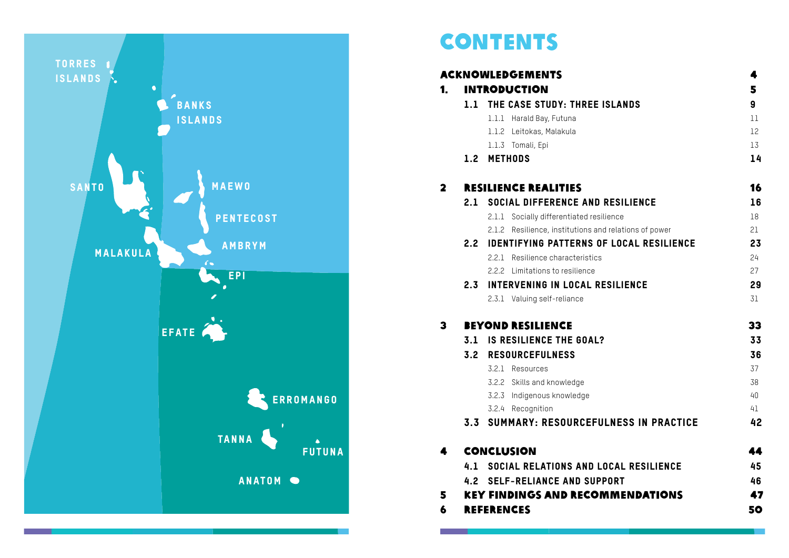#### 4 Conclusion 44

- 4.1 SOCIAL RELATIONS AND
- 4.2 SELF-RELIANCE AND SU
- 5 KEY FINDINGS AND RECOMMENDED
- 6 REFERENCES

|                           | 5  |
|---------------------------|----|
| <b>EISLANDS</b>           | 9  |
|                           | 11 |
|                           | 12 |
|                           | 13 |
|                           | 14 |
|                           | 16 |
| <b>D RESILIENCE</b>       | 16 |
| esilience                 | 18 |
| and relations of power    | 21 |
| OF LOCAL RESILIENCE       | 23 |
| CS                        | 24 |
|                           | 27 |
| <b>RESILIENCE</b>         | 29 |
|                           | 31 |
|                           | 33 |
| L?                        | 33 |
|                           | 36 |
|                           | 37 |
|                           | 38 |
|                           | 40 |
|                           | 41 |
| <b>ULNESS IN PRACTICE</b> | 42 |
|                           | 44 |
| <b>LOCAL RESILIENCE</b>   | 45 |
| <b>PPORT</b>              | 46 |
| <b>SMMENDATIONS</b>       | 47 |
|                           | 50 |
|                           |    |



### **CONTENTS**

#### **ACKNOWLEDGEMENTS** 1. INTRODUCTION

- 1.1 THE CASE STUDY: THREE
	- 1.1.1 Harald Bay, Futuna
	- 1.1.2 Leitokas, Malakula
	- 1.1.3 Tomali, Epi
- 1.2 METHODS

#### 2 RESILIENCE REALITIES

#### 2.1 SOCIAL DIFFERENCE AND

- 2.1.1 Socially differentiated rest
- 2.1.2 Resilience, institutions a

#### 2.2 IDENTIFYING PATTERNS

- 2.2.1 Resilience characteristic
- 2.2.2 Limitations to resilience
- 2.3 INTERVENING IN LOCAL 2.3.1 Valuing self-reliance

#### 3 BEYOND RESILIENCE

- 3.1 IS RESILIENCE THE GOAL
- 3.2 RESOURCEFULNESS
	- 3.2.1 Resources
		- 3.2.2 Skills and knowledge
		- 3.2.3 Indigenous knowledge
	- 3.2.4 Recognition
- 3.3 SUMMARY: RESOURCEF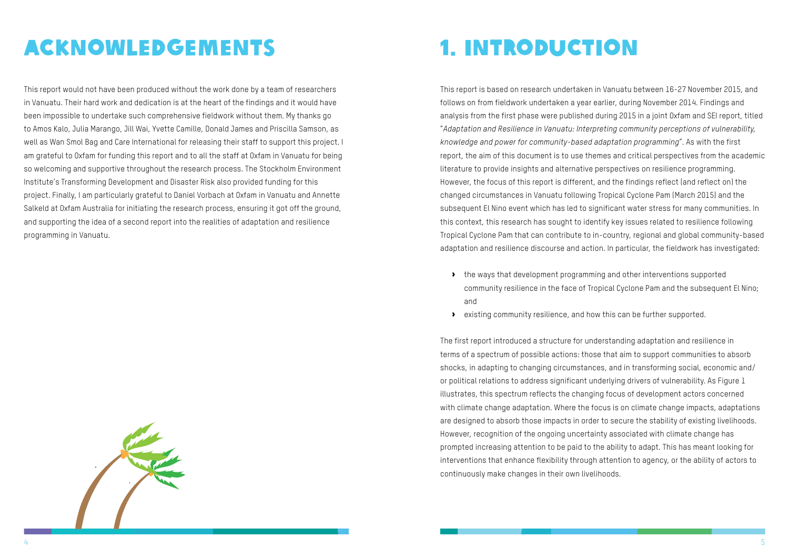

## Acknowledgements

This report would not have been produced without the work done by a team of researchers in Vanuatu. Their hard work and dedication is at the heart of the findings and it would have been impossible to undertake such comprehensive fieldwork without them. My thanks go to Amos Kalo, Julia Marango, Jill Wai, Yvette Camille, Donald James and Priscilla Samson, as well as Wan Smol Bag and Care International for releasing their staff to support this project. I am grateful to Oxfam for funding this report and to all the staff at Oxfam in Vanuatu for being so welcoming and supportive throughout the research process. The Stockholm Environment Institute's Transforming Development and Disaster Risk also provided funding for this project. Finally, I am particularly grateful to Daniel Vorbach at Oxfam in Vanuatu and Annette Salkeld at Oxfam Australia for initiating the research process, ensuring it got off the ground, and supporting the idea of a second report into the realities of adaptation and resilience programming in Vanuatu.

### 1. Introduction

This report is based on research undertaken in Vanuatu between 16-27 November 2015, and follows on from fieldwork undertaken a year earlier, during November 2014. Findings and analysis from the first phase were published during 2015 in a joint Oxfam and SEI report, titled "*Adaptation and Resilience in Vanuatu: Interpreting community perceptions of vulnerability, knowledge and power for community-based adaptation programming*". As with the first report, the aim of this document is to use themes and critical perspectives from the academic literature to provide insights and alternative perspectives on resilience programming. However, the focus of this report is different, and the findings reflect (and reflect on) the changed circumstances in Vanuatu following Tropical Cyclone Pam (March 2015) and the subsequent El Nino event which has led to significant water stress for many communities. In this context, this research has sought to identify key issues related to resilience following Tropical Cyclone Pam that can contribute to in-country, regional and global community-based adaptation and resilience discourse and action. In particular, the fieldwork has investigated:

- the ways that development programming and other interventions supported and
- $\bullet$  existing community resilience, and how this can be further supported.

community resilience in the face of Tropical Cyclone Pam and the subsequent El Nino;

The first report introduced a structure for understanding adaptation and resilience in terms of a spectrum of possible actions: those that aim to support communities to absorb shocks, in adapting to changing circumstances, and in transforming social, economic and/ or political relations to address significant underlying drivers of vulnerability. As Figure 1 illustrates, this spectrum reflects the changing focus of development actors concerned with climate change adaptation. Where the focus is on climate change impacts, adaptations are designed to absorb those impacts in order to secure the stability of existing livelihoods. However, recognition of the ongoing uncertainty associated with climate change has prompted increasing attention to be paid to the ability to adapt. This has meant looking for interventions that enhance flexibility through attention to agency, or the ability of actors to continuously make changes in their own livelihoods.

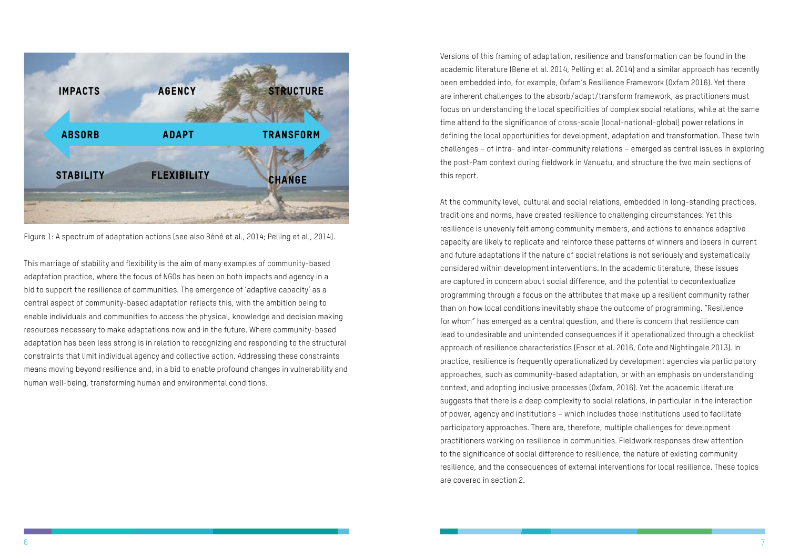<span id="page-6-0"></span>

Figure 1: A spectrum of adaptation actions (see also Béné et al., 2014; Pelling et al., 2014).

This marriage of stability and flexibility is the aim of many examples of community-based adaptation practice, where the focus of NGOs has been on both impacts and agency in a bid to support the resilience of communities. The emergence of 'adaptive capacity' as a central aspect of community-based adaptation reflects this, with the ambition being to enable individuals and communities to access the physical, knowledge and decision making resources necessary to make adaptations now and in the future. Where community-based adaptation has been less strong is in relation to recognizing and responding to the structural constraints that limit individual agency and collective action. Addressing these constraints means moving beyond resilience and, in a bid to enable profound changes in vulnerability and human well-being, transforming human and environmental conditions.

Versions of this framing of adaptation, resilience and transformation can be found in the academic literature (Bene et al. 2014, Pelling et al. 2014) and a similar approach has recently been embedded into, for example, Oxfam's Resilience Framework (Oxfam 2016). Yet there are inherent challenges to the absorb/adapt/transform framework, as practitioners must focus on understanding the local specificities of complex social relations, while at the same time attend to the significance of cross-scale (local-national-global) power relations in defining the local opportunities for development, adaptation and transformation. These twin challenges – of intra- and inter-community relations – emerged as central issues in exploring the post-Pam context during fieldwork in Vanuatu, and structure the two main sections of this report.

At the community level, cultural and social relations, embedded in long-standing practices, traditions and norms, have created resilience to challenging circumstances. Yet this resilience is unevenly felt among community members, and actions to enhance adaptive capacity are likely to replicate and reinforce these patterns of winners and losers in current and future adaptations if the nature of social relations is not seriously and systematically considered within development interventions. In the academic literature, these issues are captured in concern about social difference, and the potential to decontextualize programming through a focus on the attributes that make up a resilient community rather than on how local conditions inevitably shape the outcome of programming. "Resilience for whom" has emerged as a central question, and there is concern that resilience can lead to undesirable and unintended consequences if it operationalized through a checklist approach of resilience characteristics (Ensor et al. 2016, Cote and Nightingale 2013). In practice, resilience is frequently operationalized by development agencies via participatory approaches, such as community-based adaptation, or with an emphasis on understanding context, and adopting inclusive processes (Oxfam, 2016). Yet the academic literature suggests that there is a deep complexity to social relations, in particular in the interaction of power, agency and institutions – which includes those institutions used to facilitate participatory approaches. There are, therefore, multiple challenges for development practitioners working on resilience in communities. Fieldwork responses drew attention to the significance of social difference to resilience, the nature of existing community resilience, and the consequences of external interventions for local resilience. These topics are covered in section 2.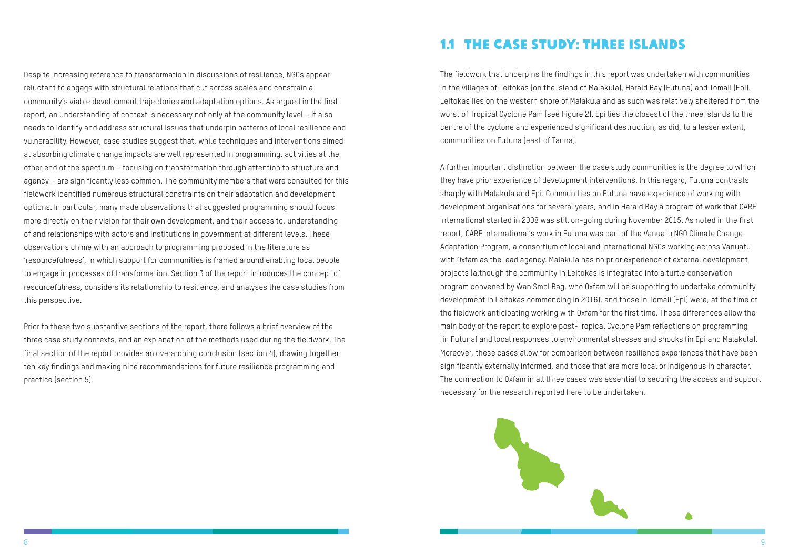<span id="page-7-0"></span>Despite increasing reference to transformation in discussions of resilience, NGOs appear reluctant to engage with structural relations that cut across scales and constrain a community's viable development trajectories and adaptation options. As argued in the first report, an understanding of context is necessary not only at the community level – it also needs to identify and address structural issues that underpin patterns of local resilience and vulnerability. However, case studies suggest that, while techniques and interventions aimed at absorbing climate change impacts are well represented in programming, activities at the other end of the spectrum – focusing on transformation through attention to structure and agency – are significantly less common. The community members that were consulted for this fieldwork identified numerous structural constraints on their adaptation and development options. In particular, many made observations that suggested programming should focus more directly on their vision for their own development, and their access to, understanding of and relationships with actors and institutions in government at different levels. These observations chime with an approach to programming proposed in the literature as 'resourcefulness', in which support for communities is framed around enabling local people to engage in processes of transformation. Section 3 of the report introduces the concept of resourcefulness, considers its relationship to resilience, and analyses the case studies from this perspective.

Prior to these two substantive sections of the report, there follows a brief overview of the three case study contexts, and an explanation of the methods used during the fieldwork. The final section of the report provides an overarching conclusion (section 4), drawing together ten key findings and making nine recommendations for future resilience programming and practice (section 5).

#### 1.1 The case study: Three Islands

The fieldwork that underpins the findings in this report was undertaken with communities in the villages of Leitokas (on the island of Malakula), Harald Bay (Futuna) and Tomali (Epi). Leitokas lies on the western shore of Malakula and as such was relatively sheltered from the worst of Tropical Cyclone Pam (see Figure 2). Epi lies the closest of the three islands to the centre of the cyclone and experienced significant destruction, as did, to a lesser extent, communities on Futuna (east of Tanna).

A further important distinction between the case study communities is the degree to which they have prior experience of development interventions. In this regard, Futuna contrasts sharply with Malakula and Epi. Communities on Futuna have experience of working with development organisations for several years, and in Harald Bay a program of work that CARE International started in 2008 was still on-going during November 2015. As noted in the first report, CARE International's work in Futuna was part of the Vanuatu NGO Climate Change Adaptation Program, a consortium of local and international NGOs working across Vanuatu with Oxfam as the lead agency. Malakula has no prior experience of external development projects (although the community in Leitokas is integrated into a turtle conservation program convened by Wan Smol Bag, who Oxfam will be supporting to undertake community development in Leitokas commencing in 2016), and those in Tomali (Epi) were, at the time of the fieldwork anticipating working with Oxfam for the first time. These differences allow the main body of the report to explore post-Tropical Cyclone Pam reflections on programming (in Futuna) and local responses to environmental stresses and shocks (in Epi and Malakula). Moreover, these cases allow for comparison between resilience experiences that have been significantly externally informed, and those that are more local or indigenous in character. The connection to Oxfam in all three cases was essential to securing the access and support necessary for the research reported here to be undertaken.

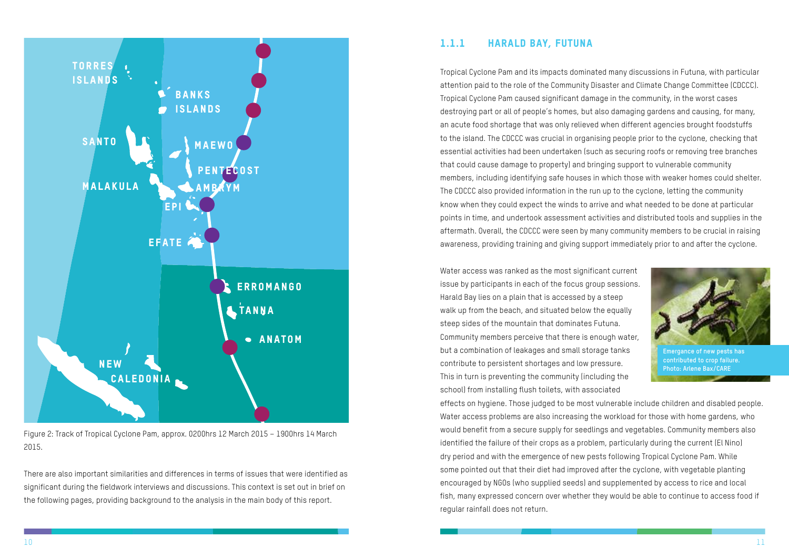<span id="page-8-0"></span>

Figure 2: Track of Tropical Cyclone Pam, approx. 0200hrs 12 March 2015 – 1900hrs 14 March 2015.

There are also important similarities and differences in terms of issues that were identified as significant during the fieldwork interviews and discussions. This context is set out in brief on the following pages, providing background to the analysis in the main body of this report.

#### 1.1.1 Harald Bay, Futuna

Tropical Cyclone Pam and its impacts dominated many discussions in Futuna, with particular attention paid to the role of the Community Disaster and Climate Change Committee (CDCCC). Tropical Cyclone Pam caused significant damage in the community, in the worst cases destroying part or all of people's homes, but also damaging gardens and causing, for many, an acute food shortage that was only relieved when different agencies brought foodstuffs to the island. The CDCCC was crucial in organising people prior to the cyclone, checking that essential activities had been undertaken (such as securing roofs or removing tree branches that could cause damage to property) and bringing support to vulnerable community members, including identifying safe houses in which those with weaker homes could shelter. The CDCCC also provided information in the run up to the cyclone, letting the community know when they could expect the winds to arrive and what needed to be done at particular points in time, and undertook assessment activities and distributed tools and supplies in the aftermath. Overall, the CDCCC were seen by many community members to be crucial in raising awareness, providing training and giving support immediately prior to and after the cyclone.

Water access was ranked as the most significant current issue by participants in each of the focus group sessions. Harald Bay lies on a plain that is accessed by a steep walk up from the beach, and situated below the equally steep sides of the mountain that dominates Futuna. Community members perceive that there is enough water, but a combination of leakages and small storage tanks contribute to persistent shortages and low pressure. This in turn is preventing the community (including the school) from installing flush toilets, with associated effects on hygiene. Those judged to be most vulnerable include children and disabled people. Water access problems are also increasing the workload for those with home gardens, who would benefit from a secure supply for seedlings and vegetables. Community members also identified the failure of their crops as a problem, particularly during the current (El Nino) dry period and with the emergence of new pests following Tropical Cyclone Pam. While some pointed out that their diet had improved after the cyclone, with vegetable planting encouraged by NGOs (who supplied seeds) and supplemented by access to rice and local fish, many expressed concern over whether they would be able to continue to access food if regular rainfall does not return. **Emergance of new pests has contributed to crop failure. Photo: Arlene Bax/CARE**

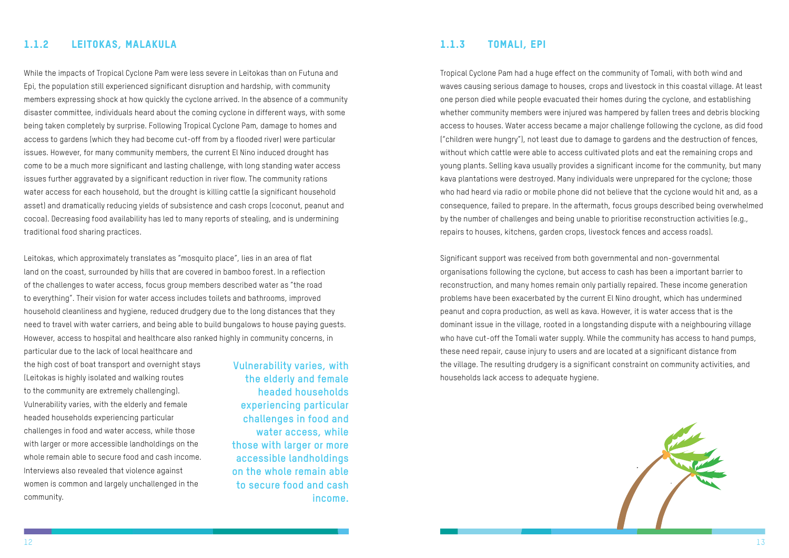

#### <span id="page-9-0"></span>1.1.2 Leitokas, Malakula

While the impacts of Tropical Cyclone Pam were less severe in Leitokas than on Futuna and Epi, the population still experienced significant disruption and hardship, with community members expressing shock at how quickly the cyclone arrived. In the absence of a community disaster committee, individuals heard about the coming cyclone in different ways, with some being taken completely by surprise. Following Tropical Cyclone Pam, damage to homes and access to gardens (which they had become cut-off from by a flooded river) were particular issues. However, for many community members, the current El Nino induced drought has come to be a much more significant and lasting challenge, with long standing water access issues further aggravated by a significant reduction in river flow. The community rations water access for each household, but the drought is killing cattle (a significant household asset) and dramatically reducing yields of subsistence and cash crops (coconut, peanut and cocoa). Decreasing food availability has led to many reports of stealing, and is undermining traditional food sharing practices.

Leitokas, which approximately translates as "mosquito place", lies in an area of flat land on the coast, surrounded by hills that are covered in bamboo forest. In a reflection of the challenges to water access, focus group members described water as "the road to everything". Their vision for water access includes toilets and bathrooms, improved household cleanliness and hygiene, reduced drudgery due to the long distances that they need to travel with water carriers, and being able to build bungalows to house paying guests. However, access to hospital and healthcare also ranked highly in community concerns, in

particular due to the lack of local healthcare and the high cost of boat transport and overnight stays (Leitokas is highly isolated and walking routes to the community are extremely challenging). Vulnerability varies, with the elderly and female headed households experiencing particular challenges in food and water access, while those with larger or more accessible landholdings on the whole remain able to secure food and cash income. Interviews also revealed that violence against women is common and largely unchallenged in the community.

**Vulnerability varies, with the elderly and female headed households experiencing particular challenges in food and water access, while those with larger or more accessible landholdings on the whole remain able to secure food and cash income.**

#### 1.1.3 Tomali, Epi

Tropical Cyclone Pam had a huge effect on the community of Tomali, with both wind and waves causing serious damage to houses, crops and livestock in this coastal village. At least one person died while people evacuated their homes during the cyclone, and establishing whether community members were injured was hampered by fallen trees and debris blocking access to houses. Water access became a major challenge following the cyclone, as did food ("children were hungry"), not least due to damage to gardens and the destruction of fences, without which cattle were able to access cultivated plots and eat the remaining crops and young plants. Selling kava usually provides a significant income for the community, but many kava plantations were destroyed. Many individuals were unprepared for the cyclone; those who had heard via radio or mobile phone did not believe that the cyclone would hit and, as a consequence, failed to prepare. In the aftermath, focus groups described being overwhelmed by the number of challenges and being unable to prioritise reconstruction activities (e.g., repairs to houses, kitchens, garden crops, livestock fences and access roads).

Significant support was received from both governmental and non-governmental organisations following the cyclone, but access to cash has been a important barrier to reconstruction, and many homes remain only partially repaired. These income generation problems have been exacerbated by the current El Nino drought, which has undermined peanut and copra production, as well as kava. However, it is water access that is the dominant issue in the village, rooted in a longstanding dispute with a neighbouring village who have cut-off the Tomali water supply. While the community has access to hand pumps, these need repair, cause injury to users and are located at a significant distance from the village. The resulting drudgery is a significant constraint on community activities, and households lack access to adequate hygiene.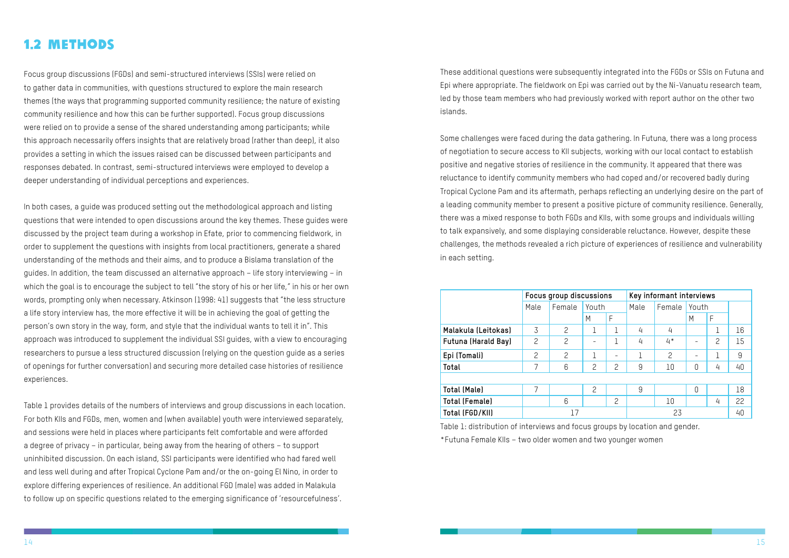#### <span id="page-10-0"></span>1.2 Methods

Focus group discussions (FGDs) and semi-structured interviews (SSIs) were relied on to gather data in communities, with questions structured to explore the main research themes (the ways that programming supported community resilience; the nature of existing community resilience and how this can be further supported). Focus group discussions were relied on to provide a sense of the shared understanding among participants; while this approach necessarily offers insights that are relatively broad (rather than deep), it also provides a setting in which the issues raised can be discussed between participants and responses debated. In contrast, semi-structured interviews were employed to develop a deeper understanding of individual perceptions and experiences.

In both cases, a guide was produced setting out the methodological approach and listing questions that were intended to open discussions around the key themes. These guides were discussed by the project team during a workshop in Efate, prior to commencing fieldwork, in order to supplement the questions with insights from local practitioners, generate a shared understanding of the methods and their aims, and to produce a Bislama translation of the guides. In addition, the team discussed an alternative approach – life story interviewing – in which the goal is to encourage the subject to tell "the story of his or her life," in his or her own words, prompting only when necessary. Atkinson (1998: 41) suggests that "the less structure a life story interview has, the more effective it will be in achieving the goal of getting the person's own story in the way, form, and style that the individual wants to tell it in". This approach was introduced to supplement the individual SSI guides, with a view to encouraging researchers to pursue a less structured discussion (relying on the question guide as a series of openings for further conversation) and securing more detailed case histories of resilience experiences.

Table 1 provides details of the numbers of interviews and group discussions in each location. For both KIIs and FGDs, men, women and (when available) youth were interviewed separately, and sessions were held in places where participants felt comfortable and were afforded a degree of privacy – in particular, being away from the hearing of others – to support uninhibited discussion. On each island, SSI participants were identified who had fared well and less well during and after Tropical Cyclone Pam and/or the on-going El Nino, in order to explore differing experiences of resilience. An additional FGD (male) was added in Malakula to follow up on specific questions related to the emerging significance of 'resourcefulness'.

These additional questions were subsequently integrated into the FGDs or SSIs on Futuna and Epi where appropriate. The fieldwork on Epi was carried out by the Ni-Vanuatu research team, led by those team members who had previously worked with report author on the other two islands.

Some challenges were faced during the data gathering. In Futuna, there was a long process of negotiation to secure access to KII subjects, working with our local contact to establish positive and negative stories of resilience in the community. It appeared that there was reluctance to identify community members who had coped and/or recovered badly during Tropical Cyclone Pam and its aftermath, perhaps reflecting an underlying desire on the part of a leading community member to present a positive picture of community resilience. Generally, there was a mixed response to both FGDs and KIIs, with some groups and individuals willing to talk expansively, and some displaying considerable reluctance. However, despite these challenges, the methods revealed a rich picture of experiences of resilience and vulnerability in each setting.

|                            | Focus group discussions |                |                |                | Key informant interviews |                |                   |                |       |  |  |
|----------------------------|-------------------------|----------------|----------------|----------------|--------------------------|----------------|-------------------|----------------|-------|--|--|
|                            | Male                    | Female         | Youth          |                |                          |                | Male              | Female         | Youth |  |  |
|                            |                         |                | M              | F              |                          |                | M                 | F              |       |  |  |
| Malakula (Leitokas)        | 3                       | $\overline{c}$ |                | 1              | 4                        | 4              |                   | ⊥              | 16    |  |  |
| <b>Futuna (Harald Bay)</b> | $\overline{c}$          | $\overline{c}$ | -              | 1              | 4                        | $4*$           | -                 | $\overline{c}$ | 15    |  |  |
| Epi (Tomali)               | 2                       | $\overline{c}$ |                | -              |                          | $\overline{c}$ | $\qquad \qquad -$ |                | 9     |  |  |
| Total                      | 7                       | 6              | 2              | $\overline{c}$ | 9                        | 10             | 0                 | 4              | 40    |  |  |
|                            |                         |                |                |                |                          |                |                   |                |       |  |  |
| Total (Male)               | 7                       |                | $\overline{c}$ |                | 9                        |                | 0                 |                | 18    |  |  |
| <b>Total (Female)</b>      |                         | 6              |                | $\overline{c}$ |                          | 10             |                   | 4              | 22    |  |  |
| Total (FGD/KII)            | 23<br>17                |                |                | 40             |                          |                |                   |                |       |  |  |

Table 1: distribution of interviews and focus groups by location and gender. \*Futuna Female KIIs – two older women and two younger women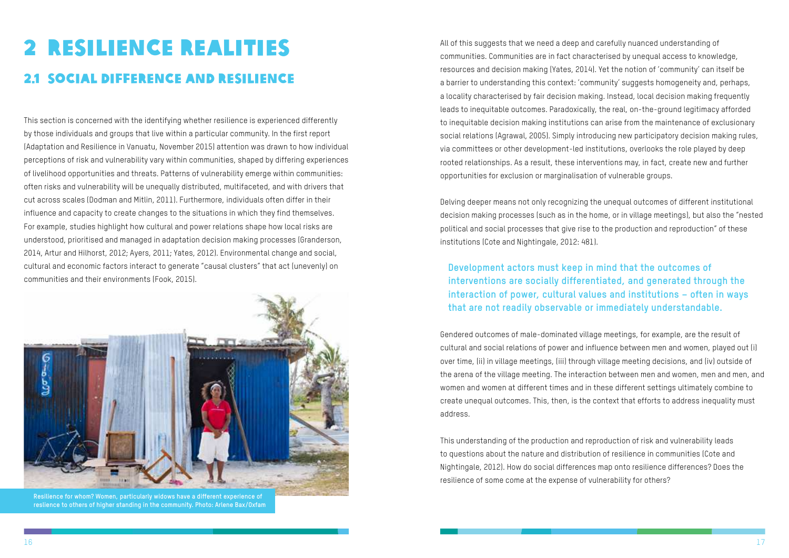### <span id="page-11-0"></span>2 Resilience realities 2.1 Social difference and resilience

This section is concerned with the identifying whether resilience is experienced differently by those individuals and groups that live within a particular community. In the first report (Adaptation and Resilience in Vanuatu, November 2015) attention was drawn to how individual perceptions of risk and vulnerability vary within communities, shaped by differing experiences of livelihood opportunities and threats. Patterns of vulnerability emerge within communities: often risks and vulnerability will be unequally distributed, multifaceted, and with drivers that cut across scales (Dodman and Mitlin, 2011). Furthermore, individuals often differ in their influence and capacity to create changes to the situations in which they find themselves. For example, studies highlight how cultural and power relations shape how local risks are understood, prioritised and managed in adaptation decision making processes (Granderson, 2014, Artur and Hilhorst, 2012; Ayers, 2011; Yates, 2012). Environmental change and social, cultural and economic factors interact to generate "causal clusters" that act (unevenly) on communities and their environments (Fook, 2015).



**Resilience for whom? Women, particularly widows have a different experience of reslience to others of higher standing in the community. Photo: Arlene Bax/Oxfam**

All of this suggests that we need a deep and carefully nuanced understanding of communities. Communities are in fact characterised by unequal access to knowledge, resources and decision making (Yates, 2014). Yet the notion of 'community' can itself be a barrier to understanding this context: 'community' suggests homogeneity and, perhaps, a locality characterised by fair decision making. Instead, local decision making frequently leads to inequitable outcomes. Paradoxically, the real, on-the-ground legitimacy afforded to inequitable decision making institutions can arise from the maintenance of exclusionary social relations (Agrawal, 2005). Simply introducing new participatory decision making rules, via committees or other development-led institutions, overlooks the role played by deep rooted relationships. As a result, these interventions may, in fact, create new and further opportunities for exclusion or marginalisation of vulnerable groups.

Delving deeper means not only recognizing the unequal outcomes of different institutional decision making processes (such as in the home, or in village meetings), but also the "nested political and social processes that give rise to the production and reproduction" of these institutions (Cote and Nightingale, 2012: 481).

#### **Development actors must keep in mind that the outcomes of interventions are socially differentiated, and generated through the interaction of power, cultural values and institutions – often in ways that are not readily observable or immediately understandable.**

Gendered outcomes of male-dominated village meetings, for example, are the result of cultural and social relations of power and influence between men and women, played out (i) over time, (ii) in village meetings, (iii) through village meeting decisions, and (iv) outside of the arena of the village meeting. The interaction between men and women, men and men, and women and women at different times and in these different settings ultimately combine to create unequal outcomes. This, then, is the context that efforts to address inequality must address.

This understanding of the production and reproduction of risk and vulnerability leads to questions about the nature and distribution of resilience in communities (Cote and Nightingale, 2012). How do social differences map onto resilience differences? Does the resilience of some come at the expense of vulnerability for others?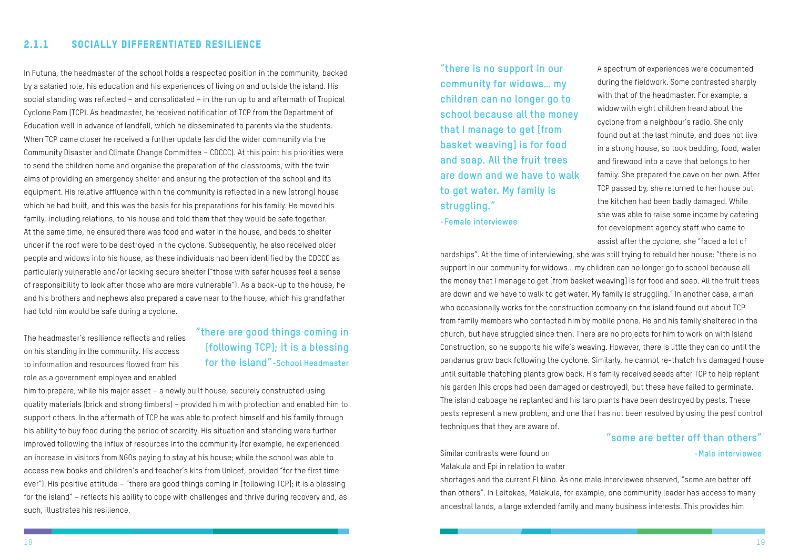#### <span id="page-12-0"></span>2.1.1 Socially differentiated resilience

In Futuna, the headmaster of the school holds a respected position in the community, backed by a salaried role, his education and his experiences of living on and outside the island. His social standing was reflected – and consolidated – in the run up to and aftermath of Tropical Cyclone Pam (TCP). As headmaster, he received notification of TCP from the Department of Education well in advance of landfall, which he disseminated to parents via the students. When TCP came closer he received a further update (as did the wider community via the Community Disaster and Climate Change Committee – CDCCC). At this point his priorities were to send the children home and organise the preparation of the classrooms, with the twin aims of providing an emergency shelter and ensuring the protection of the school and its equipment. His relative affluence within the community is reflected in a new (strong) house which he had built, and this was the basis for his preparations for his family. He moved his family, including relations, to his house and told them that they would be safe together. At the same time, he ensured there was food and water in the house, and beds to shelter under if the roof were to be destroyed in the cyclone. Subsequently, he also received older people and widows into his house, as these individuals had been identified by the CDCCC as particularly vulnerable and/or lacking secure shelter ("those with safer houses feel a sense of responsibility to look after those who are more vulnerable"). As a back-up to the house, he and his brothers and nephews also prepared a cave near to the house, which his grandfather had told him would be safe during a cyclone.

The headmaster's resilience reflects and relies on his standing in the community. His access to information and resources flowed from his role as a government employee and enabled

him to prepare, while his major asset – a newly built house, securely constructed using quality materials (brick and strong timbers) – provided him with protection and enabled him to support others. In the aftermath of TCP he was able to protect himself and his family through his ability to buy food during the period of scarcity. His situation and standing were further improved following the influx of resources into the community (for example, he experienced an increase in visitors from NGOs paying to stay at his house; while the school was able to access new books and children's and teacher's kits from Unicef, provided "for the first time ever"). His positive attitude – "there are good things coming in [following TCP]; it is a blessing for the island" – reflects his ability to cope with challenges and thrive during recovery and, as such, illustrates his resilience.

#### **"there are good things coming in [following TCP]; it is a blessing for the island"-School Headmaster**

A spectrum of experiences were documented during the fieldwork. Some contrasted sharply with that of the headmaster. For example, a widow with eight children heard about the cyclone from a neighbour's radio. She only found out at the last minute, and does not live in a strong house, so took bedding, food, water and firewood into a cave that belongs to her family. She prepared the cave on her own. After TCP passed by, she returned to her house but the kitchen had been badly damaged. While she was able to raise some income by catering for development agency staff who came to assist after the cyclone, she "faced a lot of hardships". At the time of interviewing, she was still trying to rebuild her house: "there is no support in our community for widows… my children can no longer go to school because all the money that I manage to get [from basket weaving] is for food and soap. All the fruit trees are down and we have to walk to get water. My family is struggling." In another case, a man who occasionally works for the construction company on the island found out about TCP from family members who contacted him by mobile phone. He and his family sheltered in the church, but have struggled since then. There are no projects for him to work on with Island Construction, so he supports his wife's weaving. However, there is little they can do until the pandanus grow back following the cyclone. Similarly, he cannot re-thatch his damaged house until suitable thatching plants grow back. His family received seeds after TCP to help replant his garden (his crops had been damaged or destroyed), but these have failed to germinate. The island cabbage he replanted and his taro plants have been destroyed by pests. These pests represent a new problem, and one that has not been resolved by using the pest control techniques that they are aware of. **"there is no support in our community for widows… my children can no longer go to school because all the money that I manage to get [from basket weaving] is for food and soap. All the fruit trees are down and we have to walk to get water. My family is struggling." -Female interviewee**

Similar contrasts were found on Malakula and Epi in relation to water shortages and the current El Nino. As one male interviewee observed, "some are better off than others". In Leitokas, Malakula, for example, one community leader has access to many ancestral lands, a large extended family and many business interests. This provides him

#### **"some are better off than others" -Male interviewee**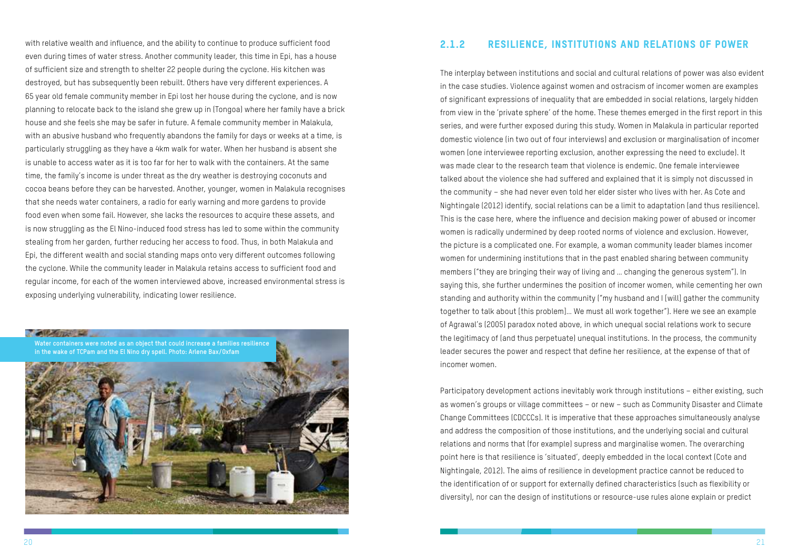<span id="page-13-0"></span>with relative wealth and influence, and the ability to continue to produce sufficient food even during times of water stress. Another community leader, this time in Epi, has a house of sufficient size and strength to shelter 22 people during the cyclone. His kitchen was destroyed, but has subsequently been rebuilt. Others have very different experiences. A 65 year old female community member in Epi lost her house during the cyclone, and is now planning to relocate back to the island she grew up in (Tongoa) where her family have a brick house and she feels she may be safer in future. A female community member in Malakula, with an abusive husband who frequently abandons the family for days or weeks at a time, is particularly struggling as they have a 4km walk for water. When her husband is absent she is unable to access water as it is too far for her to walk with the containers. At the same time, the family's income is under threat as the dry weather is destroying coconuts and cocoa beans before they can be harvested. Another, younger, women in Malakula recognises that she needs water containers, a radio for early warning and more gardens to provide food even when some fail. However, she lacks the resources to acquire these assets, and is now struggling as the El Nino-induced food stress has led to some within the community stealing from her garden, further reducing her access to food. Thus, in both Malakula and Epi, the different wealth and social standing maps onto very different outcomes following the cyclone. While the community leader in Malakula retains access to sufficient food and regular income, for each of the women interviewed above, increased environmental stress is exposing underlying vulnerability, indicating lower resilience.



#### 2.1.2 Resilience, institutions and relations of power

The interplay between institutions and social and cultural relations of power was also evident in the case studies. Violence against women and ostracism of incomer women are examples of significant expressions of inequality that are embedded in social relations, largely hidden from view in the 'private sphere' of the home. These themes emerged in the first report in this series, and were further exposed during this study. Women in Malakula in particular reported domestic violence (in two out of four interviews) and exclusion or marginalisation of incomer women (one interviewee reporting exclusion, another expressing the need to exclude). It was made clear to the research team that violence is endemic. One female interviewee talked about the violence she had suffered and explained that it is simply not discussed in the community – she had never even told her elder sister who lives with her. As Cote and Nightingale (2012) identify, social relations can be a limit to adaptation (and thus resilience). This is the case here, where the influence and decision making power of abused or incomer women is radically undermined by deep rooted norms of violence and exclusion. However, the picture is a complicated one. For example, a woman community leader blames incomer women for undermining institutions that in the past enabled sharing between community members ("they are bringing their way of living and … changing the generous system"). In saying this, she further undermines the position of incomer women, while cementing her own standing and authority within the community ("my husband and I [will] gather the community together to talk about [this problem]… We must all work together"). Here we see an example of Agrawal's (2005) paradox noted above, in which unequal social relations work to secure the legitimacy of (and thus perpetuate) unequal institutions. In the process, the community leader secures the power and respect that define her resilience, at the expense of that of incomer women.

Participatory development actions inevitably work through institutions – either existing, such as women's groups or village committees – or new – such as Community Disaster and Climate Change Committees (CDCCCs). It is imperative that these approaches simultaneously analyse and address the composition of those institutions, and the underlying social and cultural relations and norms that (for example) supress and marginalise women. The overarching point here is that resilience is 'situated', deeply embedded in the local context (Cote and Nightingale, 2012). The aims of resilience in development practice cannot be reduced to the identification of or support for externally defined characteristics (such as flexibility or diversity), nor can the design of institutions or resource-use rules alone explain or predict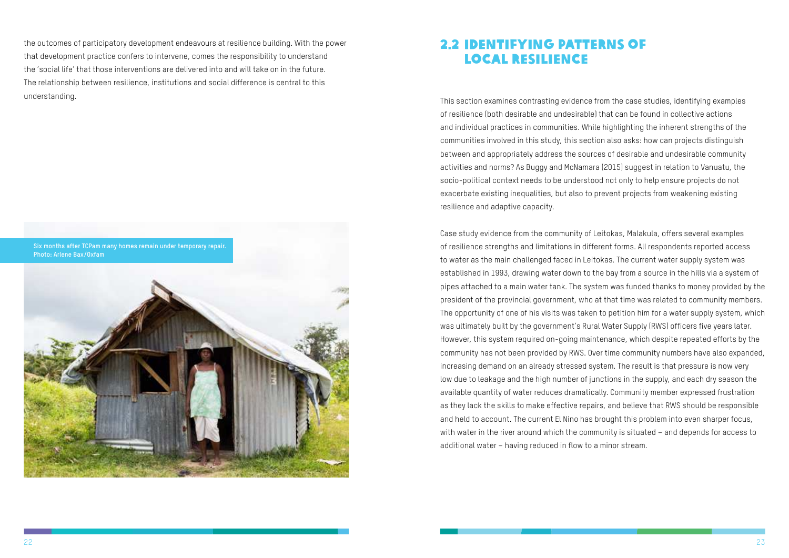<span id="page-14-0"></span>the outcomes of participatory development endeavours at resilience building. With the power that development practice confers to intervene, comes the responsibility to understand the 'social life' that those interventions are delivered into and will take on in the future. The relationship between resilience, institutions and social difference is central to this understanding.



#### 2.2 Identifying patterns of local resilience

This section examines contrasting evidence from the case studies, identifying examples of resilience (both desirable and undesirable) that can be found in collective actions and individual practices in communities. While highlighting the inherent strengths of the communities involved in this study, this section also asks: how can projects distinguish between and appropriately address the sources of desirable and undesirable community activities and norms? As Buggy and McNamara (2015) suggest in relation to Vanuatu, the socio-political context needs to be understood not only to help ensure projects do not exacerbate existing inequalities, but also to prevent projects from weakening existing resilience and adaptive capacity.

Case study evidence from the community of Leitokas, Malakula, offers several examples of resilience strengths and limitations in different forms. All respondents reported access to water as the main challenged faced in Leitokas. The current water supply system was established in 1993, drawing water down to the bay from a source in the hills via a system of pipes attached to a main water tank. The system was funded thanks to money provided by the president of the provincial government, who at that time was related to community members. The opportunity of one of his visits was taken to petition him for a water supply system, which was ultimately built by the government's Rural Water Supply (RWS) officers five years later. However, this system required on-going maintenance, which despite repeated efforts by the community has not been provided by RWS. Over time community numbers have also expanded, increasing demand on an already stressed system. The result is that pressure is now very low due to leakage and the high number of junctions in the supply, and each dry season the available quantity of water reduces dramatically. Community member expressed frustration as they lack the skills to make effective repairs, and believe that RWS should be responsible and held to account. The current El Nino has brought this problem into even sharper focus, with water in the river around which the community is situated – and depends for access to additional water – having reduced in flow to a minor stream.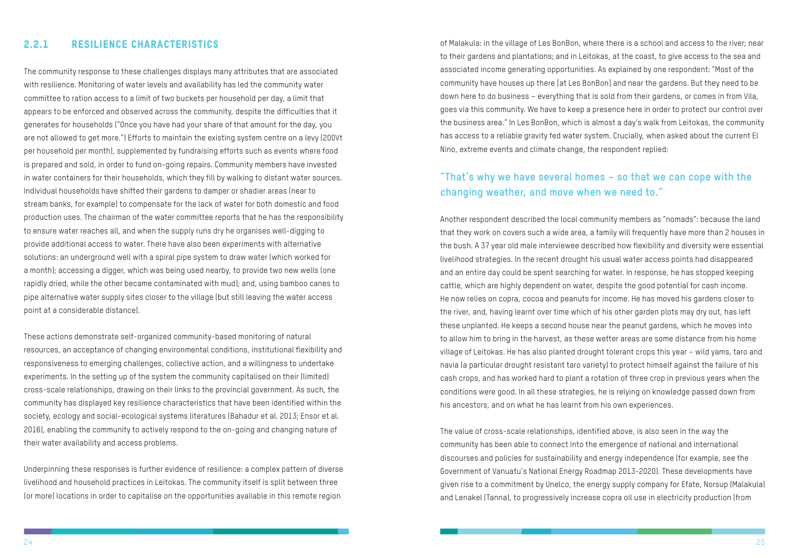#### <span id="page-15-0"></span>2.2.1 Resilience characteristics

The community response to these challenges displays many attributes that are associated with resilience. Monitoring of water levels and availability has led the community water committee to ration access to a limit of two buckets per household per day, a limit that appears to be enforced and observed across the community, despite the difficulties that it generates for households ("Once you have had your share of that amount for the day, you are not allowed to get more.") Efforts to maintain the existing system centre on a levy (200Vt per household per month), supplemented by fundraising efforts such as events where food is prepared and sold, in order to fund on-going repairs. Community members have invested in water containers for their households, which they fill by walking to distant water sources. Individual households have shifted their gardens to damper or shadier areas (near to stream banks, for example) to compensate for the lack of water for both domestic and food production uses. The chairman of the water committee reports that he has the responsibility to ensure water reaches all, and when the supply runs dry he organises well-digging to provide additional access to water. There have also been experiments with alternative solutions: an underground well with a spiral pipe system to draw water (which worked for a month); accessing a digger, which was being used nearby, to provide two new wells (one rapidly dried, while the other became contaminated with mud); and, using bamboo canes to pipe alternative water supply sites closer to the village (but still leaving the water access point at a considerable distance).

These actions demonstrate self-organized community-based monitoring of natural resources, an acceptance of changing environmental conditions, institutional flexibility and responsiveness to emerging challenges, collective action, and a willingness to undertake experiments. In the setting up of the system the community capitalised on their (limited) cross-scale relationships, drawing on their links to the provincial government. As such, the community has displayed key resilience characteristics that have been identified within the society, ecology and social-ecological systems literatures (Bahadur et al. 2013; Ensor et al. 2016), enabling the community to actively respond to the on-going and changing nature of their water availability and access problems.

Underpinning these responses is further evidence of resilience: a complex pattern of diverse livelihood and household practices in Leitokas. The community itself is split between three (or more) locations in order to capitalise on the opportunities available in this remote region

of Malakula: in the village of Les BonBon, where there is a school and access to the river; near to their gardens and plantations; and in Leitokas, at the coast, to give access to the sea and associated income generating opportunities. As explained by one respondent: "Most of the community have houses up there [at Les BonBon] and near the gardens. But they need to be down here to do business – everything that is sold from their gardens, or comes in from Vila, goes via this community. We have to keep a presence here in order to protect our control over the business area." In Les BonBon, which is almost a day's walk from Leitokas, the community has access to a reliable gravity fed water system. Crucially, when asked about the current El Nino, extreme events and climate change, the respondent replied:

#### **"That's why we have several homes – so that we can cope with the changing weather, and move when we need to."**

Another respondent described the local community members as "nomads": because the land that they work on covers such a wide area, a family will frequently have more than 2 houses in the bush. A 37 year old male interviewee described how flexibility and diversity were essential livelihood strategies. In the recent drought his usual water access points had disappeared and an entire day could be spent searching for water. In response, he has stopped keeping cattle, which are highly dependent on water, despite the good potential for cash income. He now relies on copra, cocoa and peanuts for income. He has moved his gardens closer to the river, and, having learnt over time which of his other garden plots may dry out, has left these unplanted. He keeps a second house near the peanut gardens, which he moves into to allow him to bring in the harvest, as these wetter areas are some distance from his home village of Leitokas. He has also planted drought tolerant crops this year – wild yams, taro and navia (a particular drought resistant taro variety) to protect himself against the failure of his cash crops, and has worked hard to plant a rotation of three crop in previous years when the conditions were good. In all these strategies, he is relying on knowledge passed down from his ancestors, and on what he has learnt from his own experiences.

The value of cross-scale relationships, identified above, is also seen in the way the community has been able to connect into the emergence of national and international discourses and policies for sustainability and energy independence (for example, see the Government of Vanuatu's National Energy Roadmap 2013-2020). These developments have given rise to a commitment by Unelco, the energy supply company for Efate, Norsup (Malakula) and Lenakel (Tanna), to progressively increase copra oil use in electricity production (from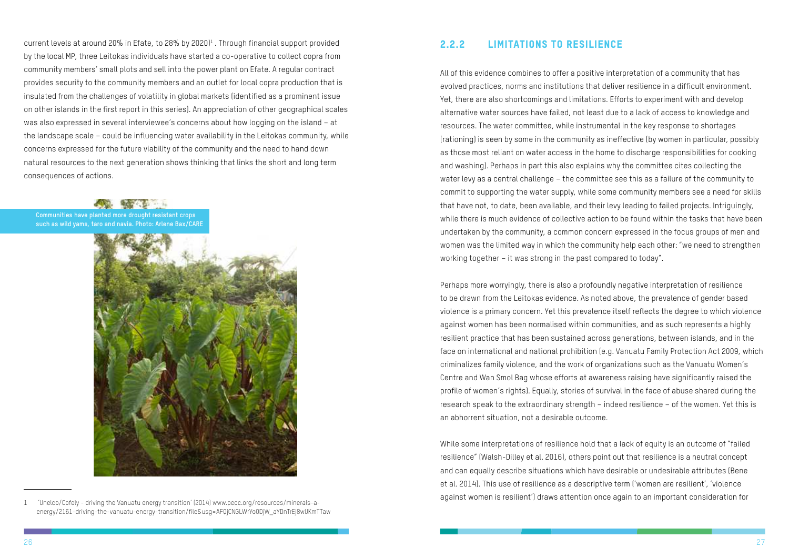<span id="page-16-0"></span>current levels at around 20% in Efate, to 28% by 2020)<sup>1</sup>. Through financial support provided by the local MP, three Leitokas individuals have started a co-operative to collect copra from community members' small plots and sell into the power plant on Efate. A regular contract provides security to the community members and an outlet for local copra production that is insulated from the challenges of volatility in global markets (identified as a prominent issue on other islands in the first report in this series). An appreciation of other geographical scales was also expressed in several interviewee's concerns about how logging on the island – at the landscape scale – could be influencing water availability in the Leitokas community, while concerns expressed for the future viability of the community and the need to hand down natural resources to the next generation shows thinking that links the short and long term consequences of actions.

1 'Unelco/Cofely - driving the Vanuatu energy transition' (2014) www.pecc.org/resources/minerals-aenergy/2161-driving-the-vanuatu-energy-transition/file&usg=AFQjCNGLWrYo0DjW\_aYDnTrEj8wUKmTTaw

**Communities have planted more drought resistant crops such as wild yams, taro and navia. Photo: Arlene Bax/CARE**



#### 2.2.2 Limitations to resilience

All of this evidence combines to offer a positive interpretation of a community that has evolved practices, norms and institutions that deliver resilience in a difficult environment. Yet, there are also shortcomings and limitations. Efforts to experiment with and develop alternative water sources have failed, not least due to a lack of access to knowledge and resources. The water committee, while instrumental in the key response to shortages (rationing) is seen by some in the community as ineffective (by women in particular, possibly as those most reliant on water access in the home to discharge responsibilities for cooking and washing). Perhaps in part this also explains why the committee cites collecting the water levy as a central challenge – the committee see this as a failure of the community to commit to supporting the water supply, while some community members see a need for skills that have not, to date, been available, and their levy leading to failed projects. Intriguingly, while there is much evidence of collective action to be found within the tasks that have been undertaken by the community, a common concern expressed in the focus groups of men and women was the limited way in which the community help each other: "we need to strengthen working together – it was strong in the past compared to today".

Perhaps more worryingly, there is also a profoundly negative interpretation of resilience to be drawn from the Leitokas evidence. As noted above, the prevalence of gender based violence is a primary concern. Yet this prevalence itself reflects the degree to which violence against women has been normalised within communities, and as such represents a highly resilient practice that has been sustained across generations, between islands, and in the face on international and national prohibition (e.g. Vanuatu Family Protection Act 2009, which criminalizes family violence, and the work of organizations such as the Vanuatu Women's Centre and Wan Smol Bag whose efforts at awareness raising have significantly raised the profile of women's rights). Equally, stories of survival in the face of abuse shared during the research speak to the extraordinary strength – indeed resilience – of the women. Yet this is an abhorrent situation, not a desirable outcome.

While some interpretations of resilience hold that a lack of equity is an outcome of "failed resilience" (Walsh-Dilley et al. 2016), others point out that resilience is a neutral concept and can equally describe situations which have desirable or undesirable attributes (Bene et al. 2014). This use of resilience as a descriptive term ('women are resilient', 'violence against women is resilient') draws attention once again to an important consideration for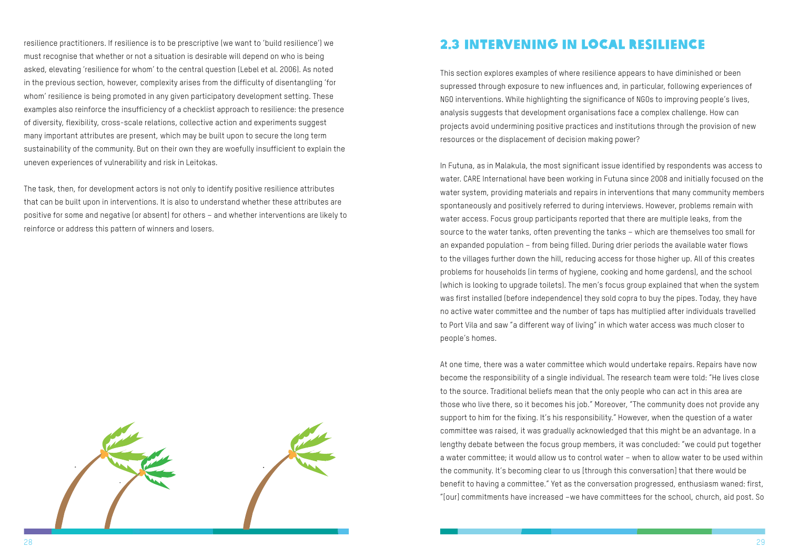

<span id="page-17-0"></span>resilience practitioners. If resilience is to be prescriptive (we want to 'build resilience') we must recognise that whether or not a situation is desirable will depend on who is being asked, elevating 'resilience for whom' to the central question (Lebel et al. 2006). As noted in the previous section, however, complexity arises from the difficulty of disentangling 'for whom' resilience is being promoted in any given participatory development setting. These examples also reinforce the insufficiency of a checklist approach to resilience: the presence of diversity, flexibility, cross-scale relations, collective action and experiments suggest many important attributes are present, which may be built upon to secure the long term sustainability of the community. But on their own they are woefully insufficient to explain the uneven experiences of vulnerability and risk in Leitokas.

The task, then, for development actors is not only to identify positive resilience attributes that can be built upon in interventions. It is also to understand whether these attributes are positive for some and negative (or absent) for others – and whether interventions are likely to reinforce or address this pattern of winners and losers.

#### 2.3 Intervening in local resilience

This section explores examples of where resilience appears to have diminished or been supressed through exposure to new influences and, in particular, following experiences of NGO interventions. While highlighting the significance of NGOs to improving people's lives, analysis suggests that development organisations face a complex challenge. How can projects avoid undermining positive practices and institutions through the provision of new resources or the displacement of decision making power?

In Futuna, as in Malakula, the most significant issue identified by respondents was access to water. CARE International have been working in Futuna since 2008 and initially focused on the water system, providing materials and repairs in interventions that many community members spontaneously and positively referred to during interviews. However, problems remain with water access. Focus group participants reported that there are multiple leaks, from the source to the water tanks, often preventing the tanks – which are themselves too small for an expanded population – from being filled. During drier periods the available water flows to the villages further down the hill, reducing access for those higher up. All of this creates problems for households (in terms of hygiene, cooking and home gardens), and the school (which is looking to upgrade toilets). The men's focus group explained that when the system was first installed (before independence) they sold copra to buy the pipes. Today, they have no active water committee and the number of taps has multiplied after individuals travelled to Port Vila and saw "a different way of living" in which water access was much closer to people's homes.

At one time, there was a water committee which would undertake repairs. Repairs have now become the responsibility of a single individual. The research team were told: "He lives close to the source. Traditional beliefs mean that the only people who can act in this area are those who live there, so it becomes his job." Moreover, "The community does not provide any support to him for the fixing. It's his responsibility." However, when the question of a water committee was raised, it was gradually acknowledged that this might be an advantage. In a lengthy debate between the focus group members, it was concluded: "we could put together a water committee; it would allow us to control water – when to allow water to be used within the community. It's becoming clear to us [through this conversation] that there would be benefit to having a committee." Yet as the conversation progressed, enthusiasm waned: first, "[our] commitments have increased –we have committees for the school, church, aid post. So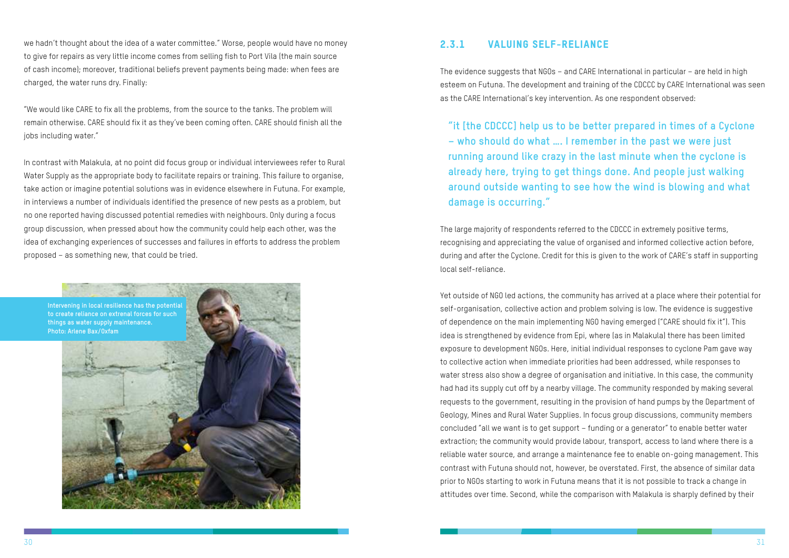<span id="page-18-0"></span>we hadn't thought about the idea of a water committee." Worse, people would have no money to give for repairs as very little income comes from selling fish to Port Vila (the main source of cash income); moreover, traditional beliefs prevent payments being made: when fees are charged, the water runs dry. Finally:

"We would like CARE to fix all the problems, from the source to the tanks. The problem will remain otherwise. CARE should fix it as they've been coming often. CARE should finish all the jobs including water."

In contrast with Malakula, at no point did focus group or individual interviewees refer to Rural Water Supply as the appropriate body to facilitate repairs or training. This failure to organise, take action or imagine potential solutions was in evidence elsewhere in Futuna. For example, in interviews a number of individuals identified the presence of new pests as a problem, but no one reported having discussed potential remedies with neighbours. Only during a focus group discussion, when pressed about how the community could help each other, was the idea of exchanging experiences of successes and failures in efforts to address the problem proposed – as something new, that could be tried.



#### 2.3.1 Valuing self-reliance

The evidence suggests that NGOs – and CARE International in particular – are held in high esteem on Futuna. The development and training of the CDCCC by CARE International was seen as the CARE International's key intervention. As one respondent observed:

**"it [the CDCCC] help us to be better prepared in times of a Cyclone – who should do what …. I remember in the past we were just running around like crazy in the last minute when the cyclone is already here, trying to get things done. And people just walking around outside wanting to see how the wind is blowing and what damage is occurring."**

The large majority of respondents referred to the CDCCC in extremely positive terms, recognising and appreciating the value of organised and informed collective action before, during and after the Cyclone. Credit for this is given to the work of CARE's staff in supporting local self-reliance.

Yet outside of NGO led actions, the community has arrived at a place where their potential for self-organisation, collective action and problem solving is low. The evidence is suggestive of dependence on the main implementing NGO having emerged ("CARE should fix it"). This idea is strengthened by evidence from Epi, where (as in Malakula) there has been limited exposure to development NGOs. Here, initial individual responses to cyclone Pam gave way to collective action when immediate priorities had been addressed, while responses to water stress also show a degree of organisation and initiative. In this case, the community had had its supply cut off by a nearby village. The community responded by making several requests to the government, resulting in the provision of hand pumps by the Department of Geology, Mines and Rural Water Supplies. In focus group discussions, community members concluded "all we want is to get support – funding or a generator" to enable better water extraction; the community would provide labour, transport, access to land where there is a reliable water source, and arrange a maintenance fee to enable on-going management. This contrast with Futuna should not, however, be overstated. First, the absence of similar data prior to NGOs starting to work in Futuna means that it is not possible to track a change in attitudes over time. Second, while the comparison with Malakula is sharply defined by their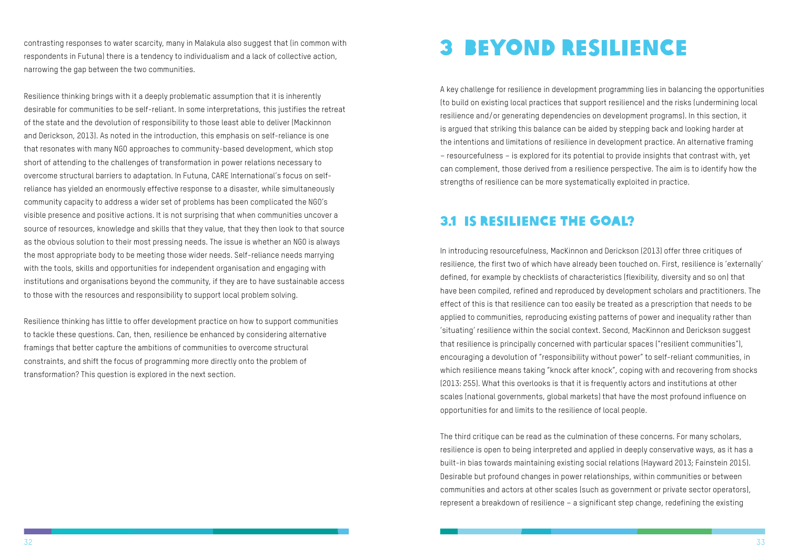contrasting responses to water scarcity, many in Malakula also suggest that (in common with respondents in Futuna) there is a tendency to individualism and a lack of collective action, narrowing the gap between the two communities.

Resilience thinking brings with it a deeply problematic assumption that it is inherently desirable for communities to be self-reliant. In some interpretations, this justifies the retreat of the state and the devolution of responsibility to those least able to deliver (Mackinnon and Derickson, 2013). As noted in the introduction, this emphasis on self-reliance is one that resonates with many NGO approaches to community-based development, which stop short of attending to the challenges of transformation in power relations necessary to overcome structural barriers to adaptation. In Futuna, CARE International's focus on selfreliance has yielded an enormously effective response to a disaster, while simultaneously community capacity to address a wider set of problems has been complicated the NGO's visible presence and positive actions. It is not surprising that when communities uncover a source of resources, knowledge and skills that they value, that they then look to that source as the obvious solution to their most pressing needs. The issue is whether an NGO is always the most appropriate body to be meeting those wider needs. Self-reliance needs marrying with the tools, skills and opportunities for independent organisation and engaging with institutions and organisations beyond the community, if they are to have sustainable access to those with the resources and responsibility to support local problem solving.

Resilience thinking has little to offer development practice on how to support communities to tackle these questions. Can, then, resilience be enhanced by considering alternative framings that better capture the ambitions of communities to overcome structural constraints, and shift the focus of programming more directly onto the problem of transformation? This question is explored in the next section.

### 3 Beyond resilience

A key challenge for resilience in development programming lies in balancing the opportunities (to build on existing local practices that support resilience) and the risks (undermining local resilience and/or generating dependencies on development programs). In this section, it is argued that striking this balance can be aided by stepping back and looking harder at the intentions and limitations of resilience in development practice. An alternative framing – resourcefulness – is explored for its potential to provide insights that contrast with, yet can complement, those derived from a resilience perspective. The aim is to identify how the strengths of resilience can be more systematically exploited in practice.

### 3.1 Is resilience the goal?

In introducing resourcefulness, MacKinnon and Derickson (2013) offer three critiques of resilience, the first two of which have already been touched on. First, resilience is 'externally' defined, for example by checklists of characteristics (flexibility, diversity and so on) that have been compiled, refined and reproduced by development scholars and practitioners. The effect of this is that resilience can too easily be treated as a prescription that needs to be applied to communities, reproducing existing patterns of power and inequality rather than 'situating' resilience within the social context. Second, MacKinnon and Derickson suggest that resilience is principally concerned with particular spaces ("resilient communities"), encouraging a devolution of "responsibility without power" to self-reliant communities, in which resilience means taking "knock after knock", coping with and recovering from shocks (2013: 255). What this overlooks is that it is frequently actors and institutions at other scales (national governments, global markets) that have the most profound influence on opportunities for and limits to the resilience of local people.

The third critique can be read as the culmination of these concerns. For many scholars, resilience is open to being interpreted and applied in deeply conservative ways, as it has a built-in bias towards maintaining existing social relations (Hayward 2013; Fainstein 2015). Desirable but profound changes in power relationships, within communities or between communities and actors at other scales (such as government or private sector operators), represent a breakdown of resilience – a significant step change, redefining the existing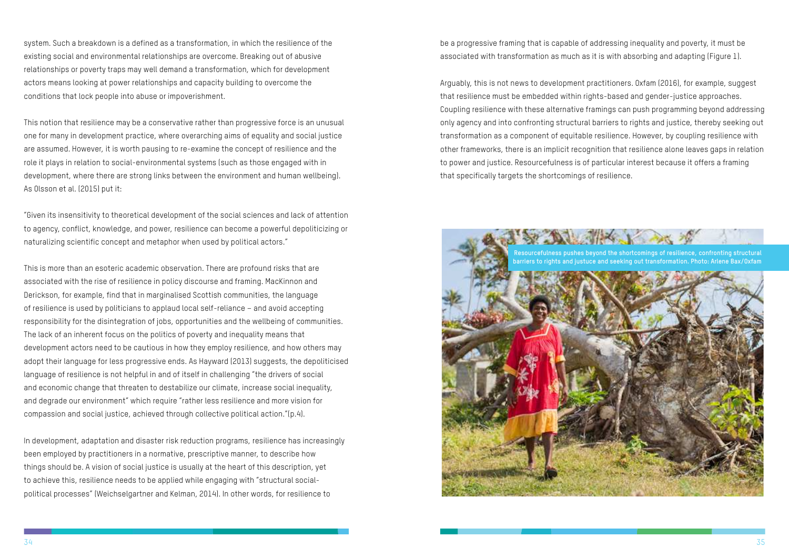<span id="page-20-0"></span>system. Such a breakdown is a defined as a transformation, in which the resilience of the existing social and environmental relationships are overcome. Breaking out of abusive relationships or poverty traps may well demand a transformation, which for development actors means looking at power relationships and capacity building to overcome the conditions that lock people into abuse or impoverishment.

This notion that resilience may be a conservative rather than progressive force is an unusual one for many in development practice, where overarching aims of equality and social justice are assumed. However, it is worth pausing to re-examine the concept of resilience and the role it plays in relation to social-environmental systems (such as those engaged with in development, where there are strong links between the environment and human wellbeing). As Olsson et al. (2015) put it:

"Given its insensitivity to theoretical development of the social sciences and lack of attention to agency, conflict, knowledge, and power, resilience can become a powerful depoliticizing or naturalizing scientific concept and metaphor when used by political actors."

This is more than an esoteric academic observation. There are profound risks that are associated with the rise of resilience in policy discourse and framing. MacKinnon and Derickson, for example, find that in marginalised Scottish communities, the language of resilience is used by politicians to applaud local self-reliance – and avoid accepting responsibility for the disintegration of jobs, opportunities and the wellbeing of communities. The lack of an inherent focus on the politics of poverty and inequality means that development actors need to be cautious in how they employ resilience, and how others may adopt their language for less progressive ends. As Hayward (2013) suggests, the depoliticised language of resilience is not helpful in and of itself in challenging "the drivers of social and economic change that threaten to destabilize our climate, increase social inequality, and degrade our environment" which require "rather less resilience and more vision for compassion and social justice, achieved through collective political action."(p.4).

In development, adaptation and disaster risk reduction programs, resilience has increasingly been employed by practitioners in a normative, prescriptive manner, to describe how things should be. A vision of social justice is usually at the heart of this description, yet to achieve this, resilience needs to be applied while engaging with "structural socialpolitical processes" (Weichselgartner and Kelman, 2014). In other words, for resilience to

be a progressive framing that is capable of addressing inequality and poverty, it must be associated with transformation as much as it is with absorbing and adapting (Figure 1).

Arguably, this is not news to development practitioners. Oxfam (2016), for example, suggest that resilience must be embedded within rights-based and gender-justice approaches. Coupling resilience with these alternative framings can push programming beyond addressing only agency and into confronting structural barriers to rights and justice, thereby seeking out transformation as a component of equitable resilience. However, by coupling resilience with other frameworks, there is an implicit recognition that resilience alone leaves gaps in relation to power and justice. Resourcefulness is of particular interest because it offers a framing that specifically targets the shortcomings of resilience.

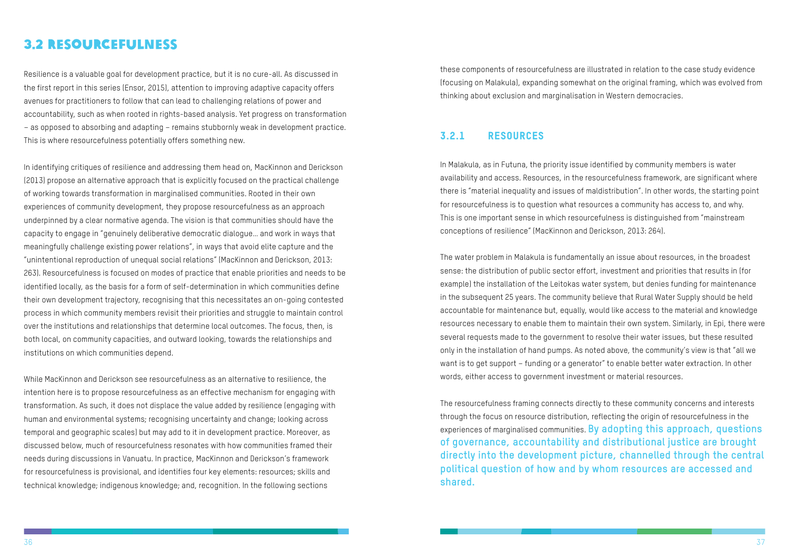#### <span id="page-21-0"></span>3.2 Resourcefulness

Resilience is a valuable goal for development practice, but it is no cure-all. As discussed in the first report in this series (Ensor, 2015), attention to improving adaptive capacity offers avenues for practitioners to follow that can lead to challenging relations of power and accountability, such as when rooted in rights-based analysis. Yet progress on transformation – as opposed to absorbing and adapting – remains stubbornly weak in development practice. This is where resourcefulness potentially offers something new.

In identifying critiques of resilience and addressing them head on, MacKinnon and Derickson (2013) propose an alternative approach that is explicitly focused on the practical challenge of working towards transformation in marginalised communities. Rooted in their own experiences of community development, they propose resourcefulness as an approach underpinned by a clear normative agenda. The vision is that communities should have the capacity to engage in "genuinely deliberative democratic dialogue… and work in ways that meaningfully challenge existing power relations", in ways that avoid elite capture and the "unintentional reproduction of unequal social relations" (MacKinnon and Derickson, 2013: 263). Resourcefulness is focused on modes of practice that enable priorities and needs to be identified locally, as the basis for a form of self-determination in which communities define their own development trajectory, recognising that this necessitates an on-going contested process in which community members revisit their priorities and struggle to maintain control over the institutions and relationships that determine local outcomes. The focus, then, is both local, on community capacities, and outward looking, towards the relationships and institutions on which communities depend.

While MacKinnon and Derickson see resourcefulness as an alternative to resilience, the intention here is to propose resourcefulness as an effective mechanism for engaging with transformation. As such, it does not displace the value added by resilience (engaging with human and environmental systems; recognising uncertainty and change; looking across temporal and geographic scales) but may add to it in development practice. Moreover, as discussed below, much of resourcefulness resonates with how communities framed their needs during discussions in Vanuatu. In practice, MacKinnon and Derickson's framework for resourcefulness is provisional, and identifies four key elements: resources; skills and technical knowledge; indigenous knowledge; and, recognition. In the following sections

these components of resourcefulness are illustrated in relation to the case study evidence (focusing on Malakula), expanding somewhat on the original framing, which was evolved from thinking about exclusion and marginalisation in Western democracies.

#### 3.2.1 Resources

In Malakula, as in Futuna, the priority issue identified by community members is water availability and access. Resources, in the resourcefulness framework, are significant where there is "material inequality and issues of maldistribution". In other words, the starting point for resourcefulness is to question what resources a community has access to, and why. This is one important sense in which resourcefulness is distinguished from "mainstream conceptions of resilience" (MacKinnon and Derickson, 2013: 264).

The water problem in Malakula is fundamentally an issue about resources, in the broadest sense: the distribution of public sector effort, investment and priorities that results in (for example) the installation of the Leitokas water system, but denies funding for maintenance in the subsequent 25 years. The community believe that Rural Water Supply should be held accountable for maintenance but, equally, would like access to the material and knowledge resources necessary to enable them to maintain their own system. Similarly, in Epi, there were several requests made to the government to resolve their water issues, but these resulted only in the installation of hand pumps. As noted above, the community's view is that "all we want is to get support – funding or a generator" to enable better water extraction. In other words, either access to government investment or material resources.

The resourcefulness framing connects directly to these community concerns and interests through the focus on resource distribution, reflecting the origin of resourcefulness in the experiences of marginalised communities. **By adopting this approach, questions of governance, accountability and distributional justice are brought directly into the development picture, channelled through the central political question of how and by whom resources are accessed and shared.**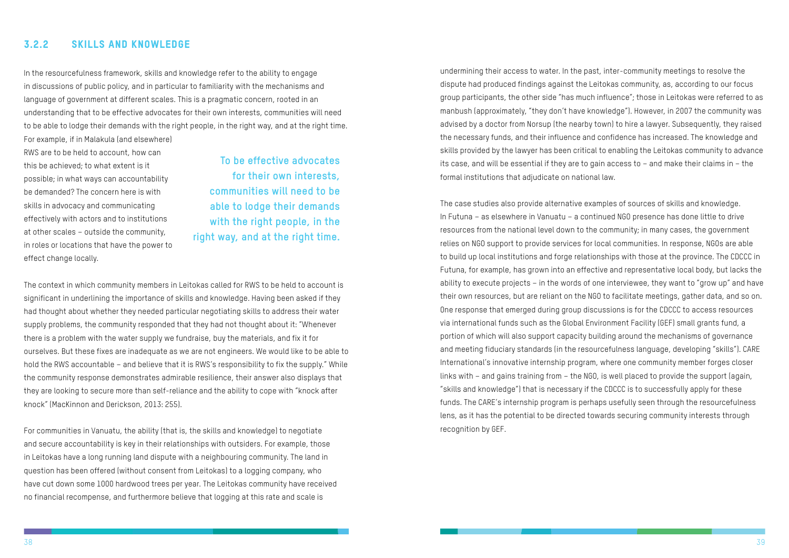#### <span id="page-22-0"></span>3.2.2 Skills and knowledge

In the resourcefulness framework, skills and knowledge refer to the ability to engage in discussions of public policy, and in particular to familiarity with the mechanisms and language of government at different scales. This is a pragmatic concern, rooted in an understanding that to be effective advocates for their own interests, communities will need to be able to lodge their demands with the right people, in the right way, and at the right time.

For example, if in Malakula (and elsewhere) RWS are to be held to account, how can this be achieved; to what extent is it possible; in what ways can accountability be demanded? The concern here is with skills in advocacy and communicating effectively with actors and to institutions at other scales – outside the community, in roles or locations that have the power to effect change locally.

The context in which community members in Leitokas called for RWS to be held to account is significant in underlining the importance of skills and knowledge. Having been asked if they had thought about whether they needed particular negotiating skills to address their water supply problems, the community responded that they had not thought about it: "Whenever there is a problem with the water supply we fundraise, buy the materials, and fix it for ourselves. But these fixes are inadequate as we are not engineers. We would like to be able to hold the RWS accountable – and believe that it is RWS's responsibility to fix the supply." While the community response demonstrates admirable resilience, their answer also displays that they are looking to secure more than self-reliance and the ability to cope with "knock after knock" (MacKinnon and Derickson, 2013: 255).

For communities in Vanuatu, the ability (that is, the skills and knowledge) to negotiate and secure accountability is key in their relationships with outsiders. For example, those in Leitokas have a long running land dispute with a neighbouring community. The land in question has been offered (without consent from Leitokas) to a logging company, who have cut down some 1000 hardwood trees per year. The Leitokas community have received no financial recompense, and furthermore believe that logging at this rate and scale is

**To be effective advocates for their own interests, communities will need to be able to lodge their demands with the right people, in the right way, and at the right time.** undermining their access to water. In the past, inter-community meetings to resolve the dispute had produced findings against the Leitokas community, as, according to our focus group participants, the other side "has much influence"; those in Leitokas were referred to as manbush (approximately, "they don't have knowledge"). However, in 2007 the community was advised by a doctor from Norsup (the nearby town) to hire a lawyer. Subsequently, they raised the necessary funds, and their influence and confidence has increased. The knowledge and skills provided by the lawyer has been critical to enabling the Leitokas community to advance its case, and will be essential if they are to gain access to – and make their claims in – the formal institutions that adjudicate on national law.

The case studies also provide alternative examples of sources of skills and knowledge. In Futuna – as elsewhere in Vanuatu – a continued NGO presence has done little to drive resources from the national level down to the community; in many cases, the government relies on NGO support to provide services for local communities. In response, NGOs are able to build up local institutions and forge relationships with those at the province. The CDCCC in Futuna, for example, has grown into an effective and representative local body, but lacks the ability to execute projects – in the words of one interviewee, they want to "grow up" and have their own resources, but are reliant on the NGO to facilitate meetings, gather data, and so on. One response that emerged during group discussions is for the CDCCC to access resources via international funds such as the Global Environment Facility (GEF) small grants fund, a portion of which will also support capacity building around the mechanisms of governance and meeting fiduciary standards (in the resourcefulness language, developing "skills"). CARE International's innovative internship program, where one community member forges closer links with – and gains training from – the NGO, is well placed to provide the support (again, "skills and knowledge") that is necessary if the CDCCC is to successfully apply for these funds. The CARE's internship program is perhaps usefully seen through the resourcefulness lens, as it has the potential to be directed towards securing community interests through recognition by GEF.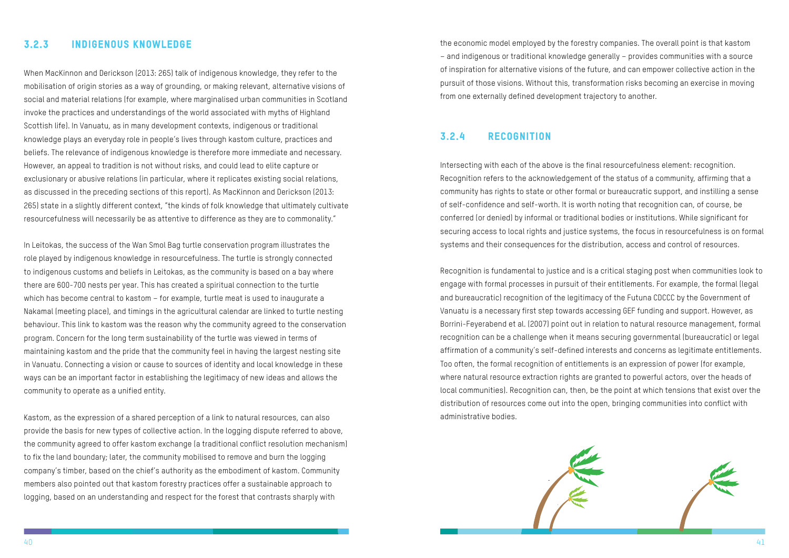

#### <span id="page-23-0"></span>3.2.3 Indigenous knowledge

When MacKinnon and Derickson (2013: 265) talk of indigenous knowledge, they refer to the mobilisation of origin stories as a way of grounding, or making relevant, alternative visions of social and material relations (for example, where marginalised urban communities in Scotland invoke the practices and understandings of the world associated with myths of Highland Scottish life). In Vanuatu, as in many development contexts, indigenous or traditional knowledge plays an everyday role in people's lives through kastom culture, practices and beliefs. The relevance of indigenous knowledge is therefore more immediate and necessary. However, an appeal to tradition is not without risks, and could lead to elite capture or exclusionary or abusive relations (in particular, where it replicates existing social relations, as discussed in the preceding sections of this report). As MacKinnon and Derickson (2013: 265) state in a slightly different context, "the kinds of folk knowledge that ultimately cultivate resourcefulness will necessarily be as attentive to difference as they are to commonality."

In Leitokas, the success of the Wan Smol Bag turtle conservation program illustrates the role played by indigenous knowledge in resourcefulness. The turtle is strongly connected to indigenous customs and beliefs in Leitokas, as the community is based on a bay where there are 600-700 nests per year. This has created a spiritual connection to the turtle which has become central to kastom – for example, turtle meat is used to inaugurate a Nakamal (meeting place), and timings in the agricultural calendar are linked to turtle nesting behaviour. This link to kastom was the reason why the community agreed to the conservation program. Concern for the long term sustainability of the turtle was viewed in terms of maintaining kastom and the pride that the community feel in having the largest nesting site in Vanuatu. Connecting a vision or cause to sources of identity and local knowledge in these ways can be an important factor in establishing the legitimacy of new ideas and allows the community to operate as a unified entity.

Kastom, as the expression of a shared perception of a link to natural resources, can also provide the basis for new types of collective action. In the logging dispute referred to above, the community agreed to offer kastom exchange (a traditional conflict resolution mechanism) to fix the land boundary; later, the community mobilised to remove and burn the logging company's timber, based on the chief's authority as the embodiment of kastom. Community members also pointed out that kastom forestry practices offer a sustainable approach to logging, based on an understanding and respect for the forest that contrasts sharply with

the economic model employed by the forestry companies. The overall point is that kastom – and indigenous or traditional knowledge generally – provides communities with a source of inspiration for alternative visions of the future, and can empower collective action in the pursuit of those visions. Without this, transformation risks becoming an exercise in moving from one externally defined development trajectory to another.

#### 3.2.4 Recognition

Intersecting with each of the above is the final resourcefulness element: recognition. Recognition refers to the acknowledgement of the status of a community, affirming that a community has rights to state or other formal or bureaucratic support, and instilling a sense of self-confidence and self-worth. It is worth noting that recognition can, of course, be conferred (or denied) by informal or traditional bodies or institutions. While significant for securing access to local rights and justice systems, the focus in resourcefulness is on formal systems and their consequences for the distribution, access and control of resources.

Recognition is fundamental to justice and is a critical staging post when communities look to engage with formal processes in pursuit of their entitlements. For example, the formal (legal and bureaucratic) recognition of the legitimacy of the Futuna CDCCC by the Government of Vanuatu is a necessary first step towards accessing GEF funding and support. However, as Borrini-Feyerabend et al. (2007) point out in relation to natural resource management, formal recognition can be a challenge when it means securing governmental (bureaucratic) or legal affirmation of a community's self-defined interests and concerns as legitimate entitlements. Too often, the formal recognition of entitlements is an expression of power (for example, where natural resource extraction rights are granted to powerful actors, over the heads of local communities). Recognition can, then, be the point at which tensions that exist over the distribution of resources come out into the open, bringing communities into conflict with administrative bodies.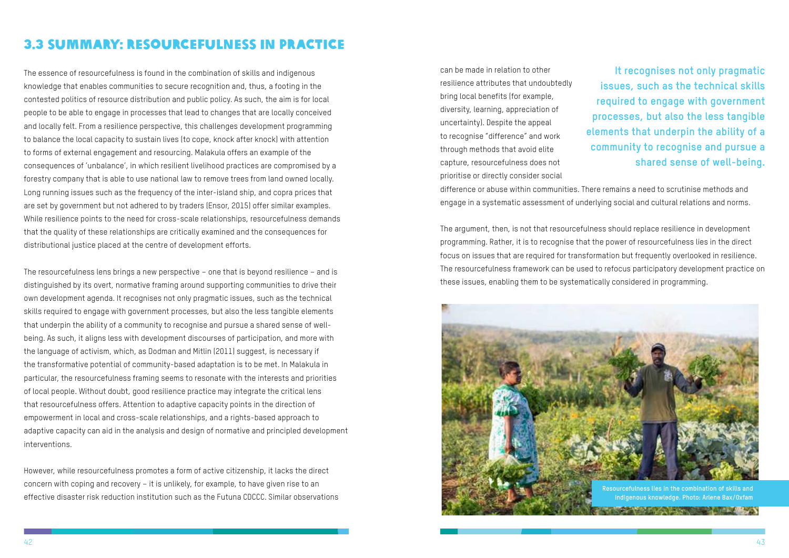#### <span id="page-24-0"></span>3.3 Summary: Resourcefulness in practice

The essence of resourcefulness is found in the combination of skills and indigenous knowledge that enables communities to secure recognition and, thus, a footing in the contested politics of resource distribution and public policy. As such, the aim is for local people to be able to engage in processes that lead to changes that are locally conceived and locally felt. From a resilience perspective, this challenges development programming to balance the local capacity to sustain lives (to cope, knock after knock) with attention to forms of external engagement and resourcing. Malakula offers an example of the consequences of 'unbalance', in which resilient livelihood practices are compromised by a forestry company that is able to use national law to remove trees from land owned locally. Long running issues such as the frequency of the inter-island ship, and copra prices that are set by government but not adhered to by traders (Ensor, 2015) offer similar examples. While resilience points to the need for cross-scale relationships, resourcefulness demands that the quality of these relationships are critically examined and the consequences for distributional justice placed at the centre of development efforts.

The resourcefulness lens brings a new perspective – one that is beyond resilience – and is distinguished by its overt, normative framing around supporting communities to drive their own development agenda. It recognises not only pragmatic issues, such as the technical skills required to engage with government processes, but also the less tangible elements that underpin the ability of a community to recognise and pursue a shared sense of wellbeing. As such, it aligns less with development discourses of participation, and more with the language of activism, which, as Dodman and Mitlin (2011) suggest, is necessary if the transformative potential of community-based adaptation is to be met. In Malakula in particular, the resourcefulness framing seems to resonate with the interests and priorities of local people. Without doubt, good resilience practice may integrate the critical lens that resourcefulness offers. Attention to adaptive capacity points in the direction of empowerment in local and cross-scale relationships, and a rights-based approach to adaptive capacity can aid in the analysis and design of normative and principled development interventions.

However, while resourcefulness promotes a form of active citizenship, it lacks the direct concern with coping and recovery – it is unlikely, for example, to have given rise to an effective disaster risk reduction institution such as the Futuna CDCCC. Similar observations can be made in relation to other resilience attributes that undoubtedly bring local benefits (for example, diversity, learning, appreciation of uncertainty). Despite the appeal to recognise "difference" and work through methods that avoid elite capture, resourcefulness does not prioritise or directly consider social

difference or abuse within communities. There remains a need to scrutinise methods and engage in a systematic assessment of underlying social and cultural relations and norms.

The argument, then, is not that resourcefulness should replace resilience in development programming. Rather, it is to recognise that the power of resourcefulness lies in the direct focus on issues that are required for transformation but frequently overlooked in resilience. The resourcefulness framework can be used to refocus participatory development practice on these issues, enabling them to be systematically considered in programming.

**It recognises not only pragmatic issues, such as the technical skills required to engage with government processes, but also the less tangible elements that underpin the ability of a community to recognise and pursue a shared sense of well-being.**

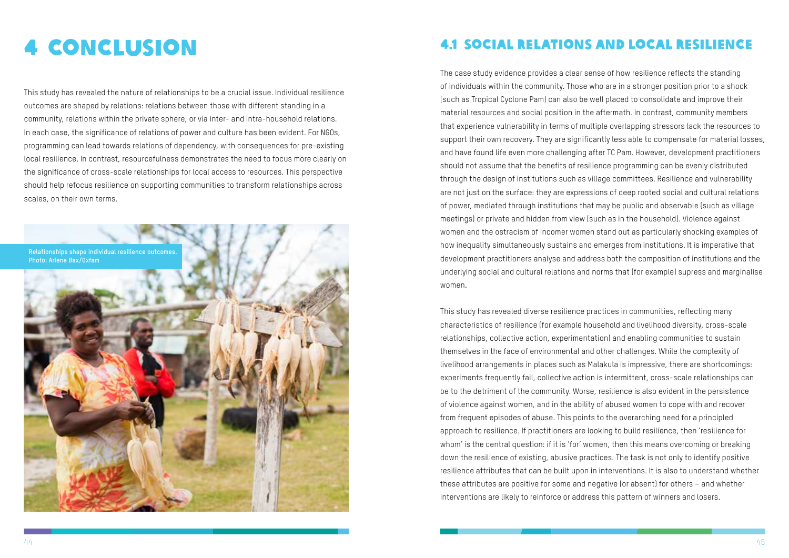### <span id="page-25-0"></span>4 Conclusion

This study has revealed the nature of relationships to be a crucial issue. Individual resilience outcomes are shaped by relations: relations between those with different standing in a community, relations within the private sphere, or via inter- and intra-household relations. In each case, the significance of relations of power and culture has been evident. For NGOs, programming can lead towards relations of dependency, with consequences for pre-existing local resilience. In contrast, resourcefulness demonstrates the need to focus more clearly on the significance of cross-scale relationships for local access to resources. This perspective should help refocus resilience on supporting communities to transform relationships across scales, on their own terms.



#### 4.1 Social relations and local resilience

The case study evidence provides a clear sense of how resilience reflects the standing of individuals within the community. Those who are in a stronger position prior to a shock (such as Tropical Cyclone Pam) can also be well placed to consolidate and improve their material resources and social position in the aftermath. In contrast, community members that experience vulnerability in terms of multiple overlapping stressors lack the resources to support their own recovery. They are significantly less able to compensate for material losses, and have found life even more challenging after TC Pam. However, development practitioners should not assume that the benefits of resilience programming can be evenly distributed through the design of institutions such as village committees. Resilience and vulnerability are not just on the surface: they are expressions of deep rooted social and cultural relations of power, mediated through institutions that may be public and observable (such as village meetings) or private and hidden from view (such as in the household). Violence against women and the ostracism of incomer women stand out as particularly shocking examples of how inequality simultaneously sustains and emerges from institutions. It is imperative that development practitioners analyse and address both the composition of institutions and the underlying social and cultural relations and norms that (for example) supress and marginalise women.

This study has revealed diverse resilience practices in communities, reflecting many characteristics of resilience (for example household and livelihood diversity, cross-scale relationships, collective action, experimentation) and enabling communities to sustain themselves in the face of environmental and other challenges. While the complexity of livelihood arrangements in places such as Malakula is impressive, there are shortcomings: experiments frequently fail, collective action is intermittent, cross-scale relationships can be to the detriment of the community. Worse, resilience is also evident in the persistence of violence against women, and in the ability of abused women to cope with and recover from frequent episodes of abuse. This points to the overarching need for a principled approach to resilience. If practitioners are looking to build resilience, then 'resilience for whom' is the central question: if it is 'for' women, then this means overcoming or breaking down the resilience of existing, abusive practices. The task is not only to identify positive resilience attributes that can be built upon in interventions. It is also to understand whether these attributes are positive for some and negative (or absent) for others – and whether interventions are likely to reinforce or address this pattern of winners and losers.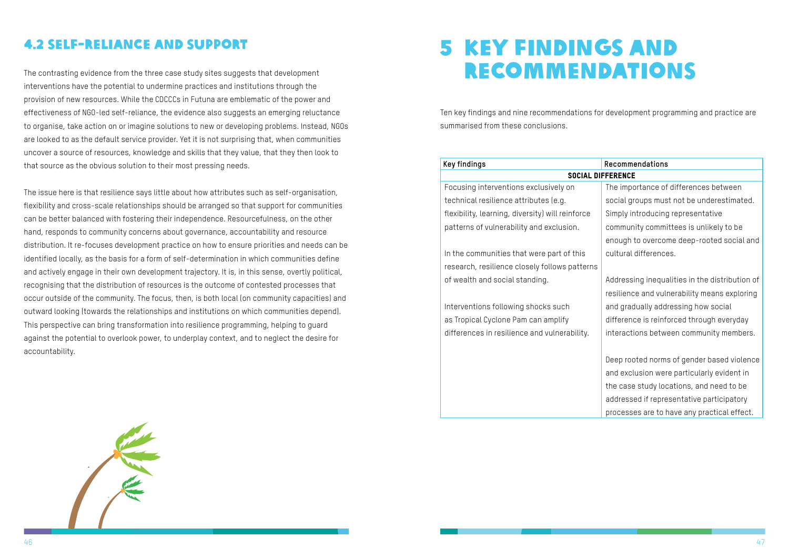### 4.2 Self-reliance and support

The contrasting evidence from the three case study sites suggests that development interventions have the potential to undermine practices and institutions through the provision of new resources. While the CDCCCs in Futuna are emblematic of the power and effectiveness of NGO-led self-reliance, the evidence also suggests an emerging reluctance to organise, take action on or imagine solutions to new or developing problems. Instead, NGOs are looked to as the default service provider. Yet it is not surprising that, when communities uncover a source of resources, knowledge and skills that they value, that they then look to that source as the obvious solution to their most pressing needs.

The issue here is that resilience says little about how attributes such as self-organisation, flexibility and cross-scale relationships should be arranged so that support for communities can be better balanced with fostering their independence. Resourcefulness, on the other hand, responds to community concerns about governance, accountability and resource distribution. It re-focuses development practice on how to ensure priorities and needs can be identified locally, as the basis for a form of self-determination in which communities define and actively engage in their own development trajectory. It is, in this sense, overtly political, recognising that the distribution of resources is the outcome of contested processes that occur outside of the community. The focus, then, is both local (on community capacities) and outward looking (towards the relationships and institutions on which communities depend). This perspective can bring transformation into resilience programming, helping to guard against the potential to overlook power, to underplay context, and to neglect the desire for accountability.



Ten key findings and nine recommendations for development programming and practice are summarised from these conclusions.

#### **Key findings**

#### SOCIAL D

Focusing interventions exclusively on technical resilience attributes (e.g. flexibility, learning, diversity) will reinforce patterns of vulnerability and exclusion.

In the communities that were part of this research, resilience closely follows patterns of wealth and social standing.

Interventions following shocks such as Tropical Cyclone Pam can amplify differences in resilience and vulnerability.





| Recommendations                                |
|------------------------------------------------|
| <b>JIFFERENCE</b>                              |
| The importance of differences between          |
| social groups must not be underestimated.      |
| Simply introducing representative              |
| community committees is unlikely to be         |
| enough to overcome deep-rooted social and      |
| cultural differences.                          |
|                                                |
| Addressing inequalities in the distribution of |
| resilience and vulnerability means exploring   |
| and gradually addressing how social            |
| difference is reinforced through everyday      |
| interactions between community members.        |
|                                                |
| Deep rooted norms of gender based violence     |
| and exclusion were particularly evident in     |
| the case study locations, and need to be       |
| addressed if representative participatory      |
| processes are to have any practical effect.    |
|                                                |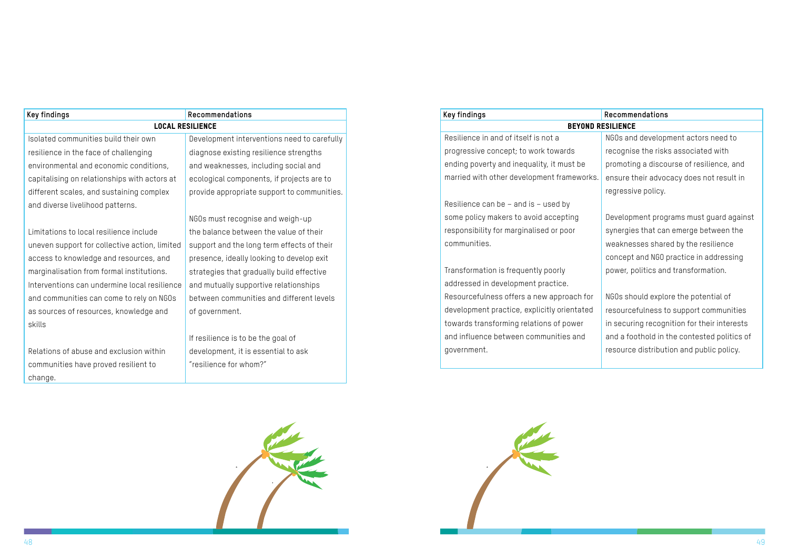

<span id="page-27-0"></span>

| <b>Key findings</b><br>Recommendations        |                                             |  |  |  |  |
|-----------------------------------------------|---------------------------------------------|--|--|--|--|
| <b>LOCAL RESILIENCE</b>                       |                                             |  |  |  |  |
| Isolated communities build their own          | Development interventions need to carefully |  |  |  |  |
| resilience in the face of challenging         | diagnose existing resilience strengths      |  |  |  |  |
| environmental and economic conditions,        | and weaknesses, including social and        |  |  |  |  |
| capitalising on relationships with actors at  | ecological components, if projects are to   |  |  |  |  |
| different scales, and sustaining complex      | provide appropriate support to communities. |  |  |  |  |
| and diverse livelihood patterns.              |                                             |  |  |  |  |
|                                               | NGOs must recognise and weigh-up            |  |  |  |  |
| Limitations to local resilience include       | the balance between the value of their      |  |  |  |  |
| uneven support for collective action, limited | support and the long term effects of their  |  |  |  |  |
| access to knowledge and resources, and        | presence, ideally looking to develop exit   |  |  |  |  |
| marginalisation from formal institutions.     | strategies that gradually build effective   |  |  |  |  |
| Interventions can undermine local resilience  | and mutually supportive relationships       |  |  |  |  |
| and communities can come to rely on NGOs      | between communities and different levels    |  |  |  |  |
| as sources of resources, knowledge and        | of government.                              |  |  |  |  |
| skills                                        |                                             |  |  |  |  |
|                                               | If resilience is to be the goal of          |  |  |  |  |
| Relations of abuse and exclusion within       | development, it is essential to ask         |  |  |  |  |
| communities have proved resilient to          | "resilience for whom?"                      |  |  |  |  |
| change.                                       |                                             |  |  |  |  |

#### **Key findings**

#### **BEYOND**

Resilience in and of itself is not a progressive concept; to work towards ending poverty and inequality, it must be married with other development frameworks.

Resilience can be – and is – used by some policy makers to avoid accepting responsibility for marginalised or poor communities.

Transformation is frequently poorly addressed in development practice. Resourcefulness offers a new approach for development practice, explicitly orientated towards transforming relations of power and influence between communities and government.

|    | Recommendations                             |  |  |  |  |
|----|---------------------------------------------|--|--|--|--|
|    | <b>RESILIENCE</b>                           |  |  |  |  |
|    | NGOs and development actors need to         |  |  |  |  |
|    | recognise the risks associated with         |  |  |  |  |
|    | promoting a discourse of resilience, and    |  |  |  |  |
| ś. | ensure their advocacy does not result in    |  |  |  |  |
|    | regressive policy.                          |  |  |  |  |
|    |                                             |  |  |  |  |
|    | Development programs must guard against     |  |  |  |  |
|    | synergies that can emerge between the       |  |  |  |  |
|    | weaknesses shared by the resilience         |  |  |  |  |
|    | concept and NGO practice in addressing      |  |  |  |  |
|    | power, politics and transformation.         |  |  |  |  |
|    |                                             |  |  |  |  |
|    | NGOs should explore the potential of        |  |  |  |  |
|    | resourcefulness to support communities      |  |  |  |  |
|    | in securing recognition for their interests |  |  |  |  |
|    | and a foothold in the contested politics of |  |  |  |  |
|    | resource distribution and public policy.    |  |  |  |  |
|    |                                             |  |  |  |  |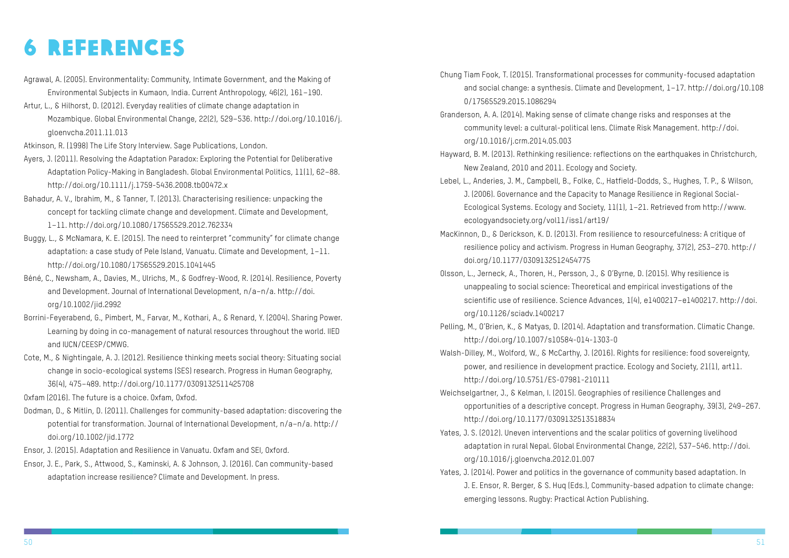## 6 References

- Agrawal, A. (2005). Environmentality: Community, Intimate Government, and the Making of Environmental Subjects in Kumaon, India. Current Anthropology, 46(2), 161–190.
- Artur, L., & Hilhorst, D. (2012). Everyday realities of climate change adaptation in Mozambique. Global Environmental Change, 22(2), 529–536. http://doi.org/10.1016/j. gloenvcha.2011.11.013

Atkinson, R. (1998) The Life Story Interview. Sage Publications, London.

- Ayers, J. (2011). Resolving the Adaptation Paradox: Exploring the Potential for Deliberative Adaptation Policy-Making in Bangladesh. Global Environmental Politics, 11(1), 62–88. http://doi.org/10.1111/j.1759-5436.2008.tb00472.x
- Bahadur, A. V., Ibrahim, M., & Tanner, T. (2013). Characterising resilience: unpacking the concept for tackling climate change and development. Climate and Development, 1–11. http://doi.org/10.1080/17565529.2012.762334
- Buggy, L., & McNamara, K. E. (2015). The need to reinterpret "community" for climate change adaptation: a case study of Pele Island, Vanuatu. Climate and Development, 1–11. http://doi.org/10.1080/17565529.2015.1041445
- Béné, C., Newsham, A., Davies, M., Ulrichs, M., & Godfrey-Wood, R. (2014). Resilience, Poverty and Development. Journal of International Development, n/a–n/a. http://doi. org/10.1002/jid.2992
- Borrini-Feyerabend, G., Pimbert, M., Farvar, M., Kothari, A., & Renard, Y. (2004). Sharing Power. Learning by doing in co-management of natural resources throughout the world. IIED and IUCN/CEESP/CMWG.
- Cote, M., & Nightingale, A. J. (2012). Resilience thinking meets social theory: Situating social change in socio-ecological systems (SES) research. Progress in Human Geography, 36(4), 475–489. http://doi.org/10.1177/0309132511425708

Oxfam (2016). The future is a choice. Oxfam, Oxfod.

- Dodman, D., & Mitlin, D. (2011). Challenges for community-based adaptation: discovering the potential for transformation. Journal of International Development, n/a–n/a. http:// doi.org/10.1002/jid.1772
- Ensor, J. (2015). Adaptation and Resilience in Vanuatu. Oxfam and SEI, Oxford.
- Ensor, J. E., Park, S., Attwood, S., Kaminski, A. & Johnson, J. (2016). Can community-based adaptation increase resilience? Climate and Development. In press.

Chung Tiam Fook, T. (2015). Transformational processes for community-focused adaptation and social change: a synthesis. Climate and Development, 1–17. http://doi.org/10.108

community level: a cultural-political lens. Climate Risk Management. http://doi.

Hayward, B. M. (2013). Rethinking resilience: reflections on the earthquakes in Christchurch,

J. (2006). Governance and the Capacity to Manage Resilience in Regional Social-

MacKinnon, D., & Derickson, K. D. (2013). From resilience to resourcefulness: A critique of resilience policy and activism. Progress in Human Geography, 37(2), 253–270. http://

unappealing to social science: Theoretical and empirical investigations of the scientific use of resilience. Science Advances, 1(4), e1400217–e1400217. http://doi.

- 0/17565529.2015.1086294 Granderson, A. A. (2014). Making sense of climate change risks and responses at the org/10.1016/j.crm.2014.05.003 New Zealand, 2010 and 2011. Ecology and Society. Lebel, L., Anderies, J. M., Campbell, B., Folke, C., Hatfield-Dodds, S., Hughes, T. P., & Wilson, Ecological Systems. Ecology and Society, 11(1), 1–21. Retrieved from http://www. ecologyandsociety.org/vol11/iss1/art19/
- doi.org/10.1177/0309132512454775
- Olsson, L., Jerneck, A., Thoren, H., Persson, J., & O'Byrne, D. (2015). Why resilience is org/10.1126/sciadv.1400217
- http://doi.org/10.1007/s10584-014-1303-0
- Walsh-Dilley, M., Wolford, W., & McCarthy, J. (2016). Rights for resilience: food sovereignty, http://doi.org/10.5751/ES-07981-210111
- Weichselgartner, J., & Kelman, I. (2015). Geographies of resilience Challenges and http://doi.org/10.1177/0309132513518834
- Yates, J. S. (2012). Uneven interventions and the scalar politics of governing livelihood org/10.1016/j.gloenvcha.2012.01.007
- Yates, J. (2014). Power and politics in the governance of community based adaptation. In emerging lessons. Rugby: Practical Action Publishing.

Pelling, M., O'Brien, K., & Matyas, D. (2014). Adaptation and transformation. Climatic Change.

power, and resilience in development practice. Ecology and Society, 21(1), art11.

opportunities of a descriptive concept. Progress in Human Geography, 39(3), 249–267.

adaptation in rural Nepal. Global Environmental Change, 22(2), 537–546. http://doi.

J. E. Ensor, R. Berger, & S. Huq (Eds.), Community-based adpation to climate change: